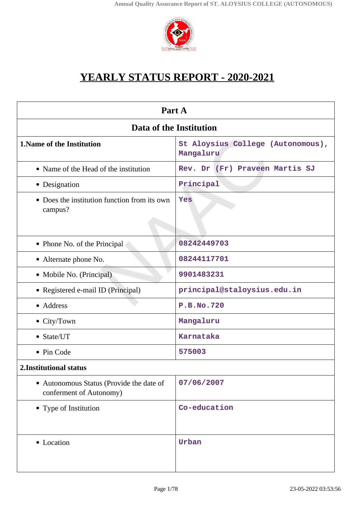

# **YEARLY STATUS REPORT - 2020-2021**

| Part A                                                              |                                                |  |
|---------------------------------------------------------------------|------------------------------------------------|--|
| Data of the Institution                                             |                                                |  |
| <b>1. Name of the Institution</b>                                   | St Aloysius College (Autonomous),<br>Mangaluru |  |
| • Name of the Head of the institution                               | Rev. Dr (Fr) Praveen Martis SJ                 |  |
| • Designation                                                       | Principal                                      |  |
| • Does the institution function from its own<br>campus?             | Yes                                            |  |
| • Phone No. of the Principal                                        | 08242449703                                    |  |
| • Alternate phone No.                                               | 08244117701                                    |  |
| • Mobile No. (Principal)                                            | 9901483231                                     |  |
| • Registered e-mail ID (Principal)                                  | principal@staloysius.edu.in                    |  |
| • Address                                                           | <b>P.B.No.720</b>                              |  |
| • City/Town                                                         | Mangaluru                                      |  |
| • State/UT                                                          | Karnataka                                      |  |
| • Pin Code                                                          | 575003                                         |  |
| 2. Institutional status                                             |                                                |  |
| • Autonomous Status (Provide the date of<br>conferment of Autonomy) | 07/06/2007                                     |  |
| • Type of Institution                                               | Co-education                                   |  |
| • Location                                                          | Urban                                          |  |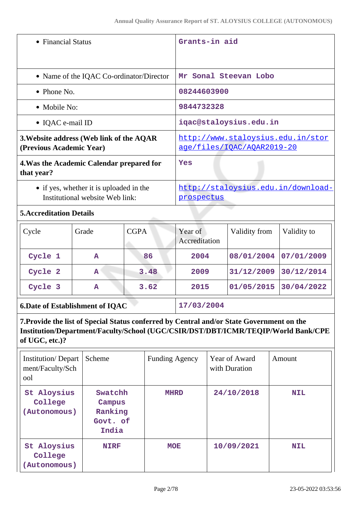| • Financial Status                                                         | Grants-in aid                                                   |
|----------------------------------------------------------------------------|-----------------------------------------------------------------|
| • Name of the IQAC Co-ordinator/Director                                   | Mr Sonal Steevan Lobo                                           |
| $\bullet$ Phone No.                                                        | 08244603900                                                     |
| • Mobile No:                                                               | 9844732328                                                      |
| • IQAC e-mail ID                                                           | iqac@staloysius.edu.in                                          |
| 3. Website address (Web link of the AQAR<br>(Previous Academic Year)       | http://www.staloysius.edu.in/stor<br>age/files/IOAC/AOAR2019-20 |
| 4. Was the Academic Calendar prepared for<br>that year?                    | Yes                                                             |
| • if yes, whether it is uploaded in the<br>Institutional website Web link: | http://staloysius.edu.in/download-<br>prospectus                |
| $\mathbf{P}$                                                               |                                                                 |

# **5.Accreditation Details**

| Cycle                                  | Grade | <b>CGPA</b> | Year of<br>Accreditation | Validity from | Validity to |
|----------------------------------------|-------|-------------|--------------------------|---------------|-------------|
| Cycle 1                                | A     | 86          | 2004                     | 08/01/2004    | 07/01/2009  |
| Cycle 2                                | A     | 3.48        | 2009                     | 31/12/2009    | 30/12/2014  |
| Cycle 3                                | A     | 3.62        | 2015                     | 01/05/2015    | 30/04/2022  |
| <b>6.Date of Establishment of IQAC</b> |       |             | 17/03/2004               |               |             |

**7.Provide the list of Special Status conferred by Central and/or State Government on the Institution/Department/Faculty/School (UGC/CSIR/DST/DBT/ICMR/TEQIP/World Bank/CPE of UGC, etc.)?**

| <b>Institution/Depart</b><br>ment/Faculty/Sch<br>ool | Scheme                                            | <b>Funding Agency</b> | Year of Award<br>with Duration | Amount     |
|------------------------------------------------------|---------------------------------------------------|-----------------------|--------------------------------|------------|
| St Aloysius<br>College<br>(Autonomous)               | Swatchh<br>Campus<br>Ranking<br>Govt. of<br>India | <b>MHRD</b>           | 24/10/2018                     | <b>NIL</b> |
| St Aloysius<br>College<br>(Autonomous)               | <b>NIRF</b>                                       | <b>MOE</b>            | 10/09/2021                     | <b>NIL</b> |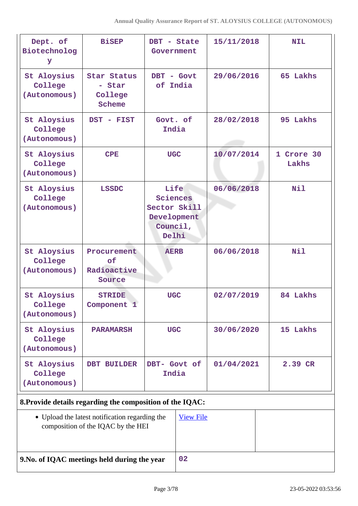| Dept. of<br>Biotechnolog<br>У                             | <b>BiSEP</b>                                                                         | DBT - State<br>Government                                            |                  | 15/11/2018 | <b>NIL</b>          |
|-----------------------------------------------------------|--------------------------------------------------------------------------------------|----------------------------------------------------------------------|------------------|------------|---------------------|
| St Aloysius<br>College<br>(Autonomous)                    | Star Status<br>- Star<br>College<br>Scheme                                           | DBT - Govt<br>of India                                               |                  | 29/06/2016 | 65 Lakhs            |
| St Aloysius<br>College<br>(Autonomous)                    | DST - FIST                                                                           | Govt. of<br>India                                                    |                  | 28/02/2018 | 95 Lakhs            |
| St Aloysius<br>College<br>(Autonomous)                    | <b>CPE</b>                                                                           | <b>UGC</b>                                                           |                  | 10/07/2014 | 1 Crore 30<br>Lakhs |
| St Aloysius<br>College<br>(Autonomous)                    | <b>LSSDC</b>                                                                         | Life<br>Sciences<br>Sector Skill<br>Development<br>Council,<br>Delhi |                  | 06/06/2018 | Nil                 |
| St Aloysius<br>College<br>(Autonomous)                    | Procurement<br>of<br>Radioactive<br>Source                                           | <b>AERB</b>                                                          |                  | 06/06/2018 | <b>Nil</b>          |
| St Aloysius<br>College<br>(Autonomous)                    | <b>STRIDE</b><br>Component 1                                                         | <b>UGC</b>                                                           |                  | 02/07/2019 | 84 Lakhs            |
| St Aloysius<br>College<br>(Autonomous)                    | <b>PARAMARSH</b>                                                                     | <b>UGC</b>                                                           |                  | 30/06/2020 | 15 Lakhs            |
| St Aloysius<br>College<br>(Autonomous)                    | DBT BUILDER                                                                          | DBT- Govt of<br>India                                                |                  | 01/04/2021 | 2.39 CR             |
| 8. Provide details regarding the composition of the IQAC: |                                                                                      |                                                                      |                  |            |                     |
|                                                           | • Upload the latest notification regarding the<br>composition of the IQAC by the HEI |                                                                      | <b>View File</b> |            |                     |
| 9. No. of IQAC meetings held during the year              |                                                                                      |                                                                      | 02               |            |                     |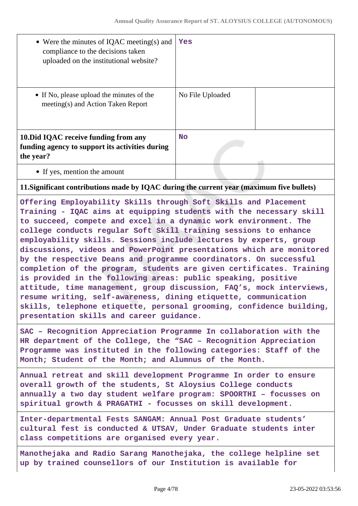| • Were the minutes of IQAC meeting(s) and<br>compliance to the decisions taken<br>uploaded on the institutional website? | Yes              |  |
|--------------------------------------------------------------------------------------------------------------------------|------------------|--|
| • If No, please upload the minutes of the<br>meeting(s) and Action Taken Report                                          | No File Uploaded |  |
| 10. Did IQAC receive funding from any<br>funding agency to support its activities during<br>the year?                    | <b>No</b>        |  |
| • If yes, mention the amount                                                                                             |                  |  |
| 11. Significant contributions made by IQAC during the current year (maximum five bullets)                                |                  |  |

**Offering Employability Skills through Soft Skills and Placement Training - IQAC aims at equipping students with the necessary skill to succeed, compete and excel in a dynamic work environment. The college conducts regular Soft Skill training sessions to enhance employability skills. Sessions include lectures by experts, group discussions, videos and PowerPoint presentations which are monitored by the respective Deans and programme coordinators. On successful completion of the program, students are given certificates. Training is provided in the following areas: public speaking, positive attitude, time management, group discussion, FAQ's, mock interviews, resume writing, self-awareness, dining etiquette, communication skills, telephone etiquette, personal grooming, confidence building, presentation skills and career guidance.**

**SAC – Recognition Appreciation Programme In collaboration with the HR department of the College, the "SAC – Recognition Appreciation Programme was instituted in the following categories: Staff of the Month; Student of the Month; and Alumnus of the Month.**

**Annual retreat and skill development Programme In order to ensure overall growth of the students, St Aloysius College conducts annually a two day student welfare program: SPOORTHI – focusses on spiritual growth & PRAGATHI - focusses on skill development.**

**Inter-departmental Fests SANGAM: Annual Post Graduate students' cultural fest is conducted & UTSAV, Under Graduate students inter class competitions are organised every year.**

**Manothejaka and Radio Sarang Manothejaka, the college helpline set up by trained counsellors of our Institution is available for**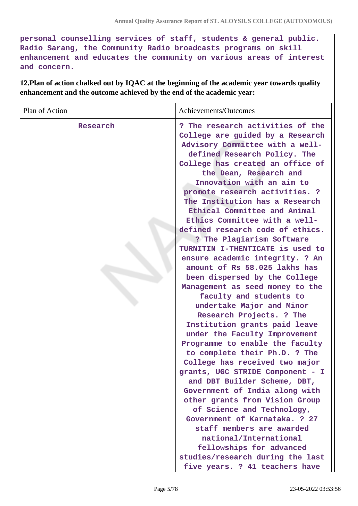**personal counselling services of staff, students & general public. Radio Sarang, the Community Radio broadcasts programs on skill enhancement and educates the community on various areas of interest and concern.**

**12.Plan of action chalked out by IQAC at the beginning of the academic year towards quality enhancement and the outcome achieved by the end of the academic year:**

| Plan of Action | Achievements/Outcomes                                                                                                                                                                                                                                                                                                                                                                                                                                                                                                                                                                                                                                                                                                                                                                                                                                                                                                                                                                                                                                                                                                                                                                                          |
|----------------|----------------------------------------------------------------------------------------------------------------------------------------------------------------------------------------------------------------------------------------------------------------------------------------------------------------------------------------------------------------------------------------------------------------------------------------------------------------------------------------------------------------------------------------------------------------------------------------------------------------------------------------------------------------------------------------------------------------------------------------------------------------------------------------------------------------------------------------------------------------------------------------------------------------------------------------------------------------------------------------------------------------------------------------------------------------------------------------------------------------------------------------------------------------------------------------------------------------|
| Research       | ? The research activities of the<br>College are guided by a Research<br>Advisory Committee with a well-<br>defined Research Policy. The<br>College has created an office of<br>the Dean, Research and<br>Innovation with an aim to<br>promote research activities. ?<br>The Institution has a Research<br>Ethical Committee and Animal<br>Ethics Committee with a well-<br>defined research code of ethics.<br>? The Plagiarism Software<br>TURNITIN I-THENTICATE is used to<br>ensure academic integrity. ? An<br>amount of Rs 58.025 lakhs has<br>been dispersed by the College<br>Management as seed money to the<br>faculty and students to<br>undertake Major and Minor<br>Research Projects. ? The<br>Institution grants paid leave<br>under the Faculty Improvement<br>Programme to enable the faculty<br>to complete their Ph.D. ? The<br>College has received two major<br>grants, UGC STRIDE Component - I<br>and DBT Builder Scheme, DBT,<br>Government of India along with<br>other grants from Vision Group<br>of Science and Technology,<br>Government of Karnataka. ? 27<br>staff members are awarded<br>national/International<br>fellowships for advanced<br>studies/research during the last |
|                | five years. ? 41 teachers have                                                                                                                                                                                                                                                                                                                                                                                                                                                                                                                                                                                                                                                                                                                                                                                                                                                                                                                                                                                                                                                                                                                                                                                 |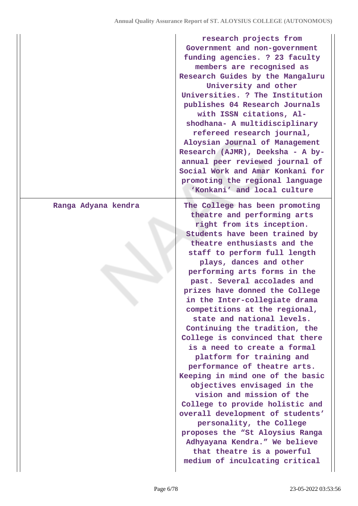|                     | research projects from<br>Government and non-government<br>funding agencies. ? 23 faculty<br>members are recognised as<br>Research Guides by the Mangaluru<br>University and other<br>Universities. ? The Institution<br>publishes 04 Research Journals<br>with ISSN citations, Al-<br>shodhana- A multidisciplinary<br>refereed research journal,<br>Aloysian Journal of Management<br>Research (AJMR), Deeksha - A by-<br>annual peer reviewed journal of<br>Social Work and Amar Konkani for<br>promoting the regional language<br>'Konkani' and local culture                                                                                                                                                                                                                                                                                                                                                              |
|---------------------|--------------------------------------------------------------------------------------------------------------------------------------------------------------------------------------------------------------------------------------------------------------------------------------------------------------------------------------------------------------------------------------------------------------------------------------------------------------------------------------------------------------------------------------------------------------------------------------------------------------------------------------------------------------------------------------------------------------------------------------------------------------------------------------------------------------------------------------------------------------------------------------------------------------------------------|
| Ranga Adyana kendra | The College has been promoting<br>theatre and performing arts<br>right from its inception.<br>Students have been trained by<br>theatre enthusiasts and the<br>staff to perform full length<br>plays, dances and other<br>performing arts forms in the<br>past. Several accolades and<br>prizes have donned the College<br>in the Inter-collegiate drama<br>competitions at the regional,<br>state and national levels.<br>Continuing the tradition, the<br>College is convinced that there<br>is a need to create a formal<br>platform for training and<br>performance of theatre arts.<br>Keeping in mind one of the basic<br>objectives envisaged in the<br>vision and mission of the<br>College to provide holistic and<br>overall development of students'<br>personality, the College<br>proposes the "St Aloysius Ranga<br>Adhyayana Kendra." We believe<br>that theatre is a powerful<br>medium of inculcating critical |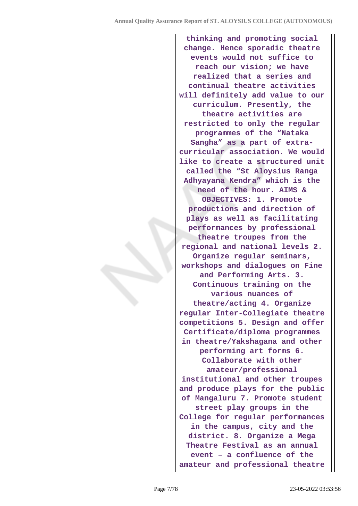**thinking and promoting social change. Hence sporadic theatre events would not suffice to reach our vision; we have realized that a series and continual theatre activities will definitely add value to our curriculum. Presently, the theatre activities are restricted to only the regular programmes of the "Nataka Sangha" as a part of extracurricular association. We would like to create a structured unit called the "St Aloysius Ranga Adhyayana Kendra" which is the need of the hour. AIMS & OBJECTIVES: 1. Promote productions and direction of plays as well as facilitating performances by professional theatre troupes from the regional and national levels 2. Organize regular seminars, workshops and dialogues on Fine and Performing Arts. 3. Continuous training on the various nuances of theatre/acting 4. Organize regular Inter-Collegiate theatre competitions 5. Design and offer Certificate/diploma programmes in theatre/Yakshagana and other performing art forms 6. Collaborate with other amateur/professional institutional and other troupes and produce plays for the public of Mangaluru 7. Promote student street play groups in the College for regular performances in the campus, city and the district. 8. Organize a Mega Theatre Festival as an annual event – a confluence of the amateur and professional theatre**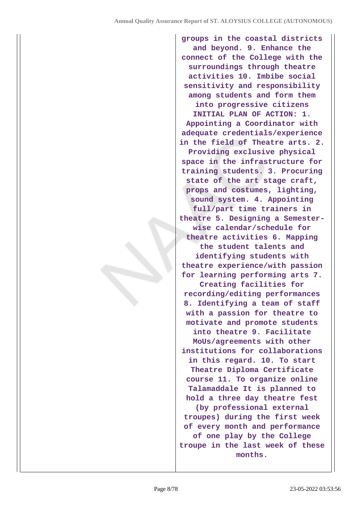**groups in the coastal districts and beyond. 9. Enhance the connect of the College with the surroundings through theatre activities 10. Imbibe social sensitivity and responsibility among students and form them into progressive citizens INITIAL PLAN OF ACTION: 1. Appointing a Coordinator with adequate credentials/experience in the field of Theatre arts. 2. Providing exclusive physical space in the infrastructure for training students. 3. Procuring state of the art stage craft, props and costumes, lighting, sound system. 4. Appointing full/part time trainers in theatre 5. Designing a Semesterwise calendar/schedule for theatre activities 6. Mapping the student talents and identifying students with theatre experience/with passion for learning performing arts 7. Creating facilities for recording/editing performances 8. Identifying a team of staff with a passion for theatre to motivate and promote students into theatre 9. Facilitate MoUs/agreements with other institutions for collaborations in this regard. 10. To start Theatre Diploma Certificate course 11. To organize online Talamaddale It is planned to hold a three day theatre fest (by professional external troupes) during the first week of every month and performance of one play by the College troupe in the last week of these months.**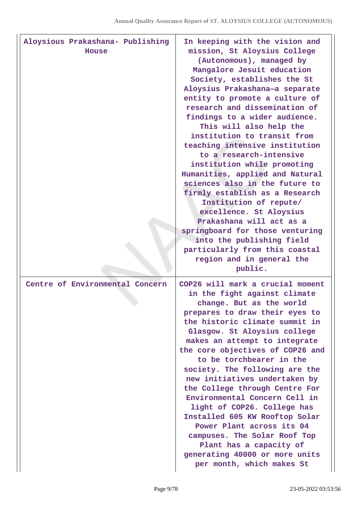| Aloysious Prakashana- Publishing<br>House | In keeping with the vision and<br>mission, St Aloysius College<br>(Autonomous), managed by<br>Mangalore Jesuit education<br>Society, establishes the St<br>Aloysius Prakashana-a separate<br>entity to promote a culture of<br>research and dissemination of<br>findings to a wider audience.<br>This will also help the<br>institution to transit from<br>teaching intensive institution<br>to a research-intensive<br>institution while promoting<br>Humanities, applied and Natural<br>sciences also in the future to<br>firmly establish as a Research<br>Institution of repute/<br>excellence. St Aloysius<br>Prakashana will act as a<br>springboard for those venturing<br>into the publishing field<br>particularly from this coastal<br>region and in general the<br>public. |
|-------------------------------------------|---------------------------------------------------------------------------------------------------------------------------------------------------------------------------------------------------------------------------------------------------------------------------------------------------------------------------------------------------------------------------------------------------------------------------------------------------------------------------------------------------------------------------------------------------------------------------------------------------------------------------------------------------------------------------------------------------------------------------------------------------------------------------------------|
| Centre of Environmental Concern           | COP26 will mark a crucial moment<br>in the fight against climate<br>change. But as the world<br>prepares to draw their eyes to<br>the historic climate summit in<br>Glasgow. St Aloysius college<br>makes an attempt to integrate<br>the core objectives of COP26 and<br>to be torchbearer in the<br>society. The following are the<br>new initiatives undertaken by<br>the College through Centre For<br>Environmental Concern Cell in<br>light of COP26. College has<br>Installed 605 KW Rooftop Solar<br>Power Plant across its 04<br>campuses. The Solar Roof Top<br>Plant has a capacity of<br>generating 40000 or more units<br>per month, which makes St                                                                                                                       |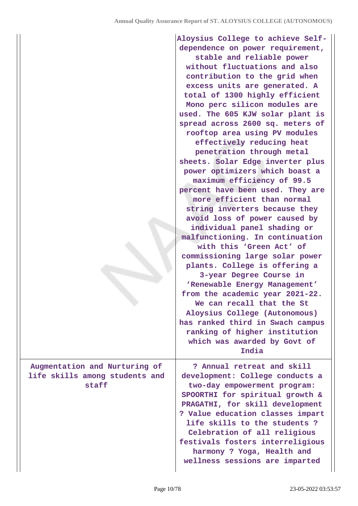|                                                                          | Aloysius College to achieve Self-<br>dependence on power requirement,<br>stable and reliable power<br>without fluctuations and also<br>contribution to the grid when<br>excess units are generated. A<br>total of 1300 highly efficient<br>Mono perc silicon modules are<br>used. The 605 KJW solar plant is<br>spread across 2600 sq. meters of<br>rooftop area using PV modules<br>effectively reducing heat<br>penetration through metal<br>sheets. Solar Edge inverter plus<br>power optimizers which boast a<br>maximum efficiency of 99.5<br>percent have been used. They are<br>more efficient than normal<br>string inverters because they<br>avoid loss of power caused by<br>individual panel shading or<br>malfunctioning. In continuation<br>with this 'Green Act' of<br>commissioning large solar power<br>plants. College is offering a<br>3-year Degree Course in<br>'Renewable Energy Management'<br>from the academic year 2021-22.<br>We can recall that the St<br>Aloysius College (Autonomous)<br>has ranked third in Swach campus<br>ranking of higher institution<br>which was awarded by Govt of<br>India |
|--------------------------------------------------------------------------|----------------------------------------------------------------------------------------------------------------------------------------------------------------------------------------------------------------------------------------------------------------------------------------------------------------------------------------------------------------------------------------------------------------------------------------------------------------------------------------------------------------------------------------------------------------------------------------------------------------------------------------------------------------------------------------------------------------------------------------------------------------------------------------------------------------------------------------------------------------------------------------------------------------------------------------------------------------------------------------------------------------------------------------------------------------------------------------------------------------------------------|
| Augmentation and Nurturing of<br>life skills among students and<br>staff | ? Annual retreat and skill<br>development: College conducts a<br>two-day empowerment program:<br>SPOORTHI for spiritual growth &<br>PRAGATHI, for skill development<br>? Value education classes impart<br>life skills to the students?<br>Celebration of all religious<br>festivals fosters interreligious<br>harmony ? Yoga, Health and<br>wellness sessions are imparted                                                                                                                                                                                                                                                                                                                                                                                                                                                                                                                                                                                                                                                                                                                                                      |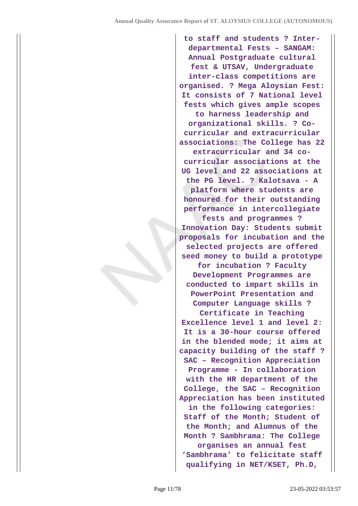**to staff and students ? Interdepartmental Fests – SANGAM: Annual Postgraduate cultural fest & UTSAV, Undergraduate inter-class competitions are organised. ? Mega Aloysian Fest: It consists of 7 National level fests which gives ample scopes to harness leadership and organizational skills. ? Cocurricular and extracurricular associations: The College has 22 extracurricular and 34 cocurricular associations at the UG level and 22 associations at the PG level. ? Kalotsava - A platform where students are honoured for their outstanding performance in intercollegiate fests and programmes ? Innovation Day: Students submit proposals for incubation and the selected projects are offered seed money to build a prototype for incubation ? Faculty Development Programmes are conducted to impart skills in PowerPoint Presentation and Computer Language skills ? Certificate in Teaching Excellence level 1 and level 2: It is a 30-hour course offered in the blended mode; it aims at capacity building of the staff ? SAC – Recognition Appreciation Programme - In collaboration with the HR department of the College, the SAC – Recognition Appreciation has been instituted in the following categories: Staff of the Month; Student of the Month; and Alumnus of the Month ? Sambhrama: The College organises an annual fest 'Sambhrama' to felicitate staff qualifying in NET/KSET, Ph.D,**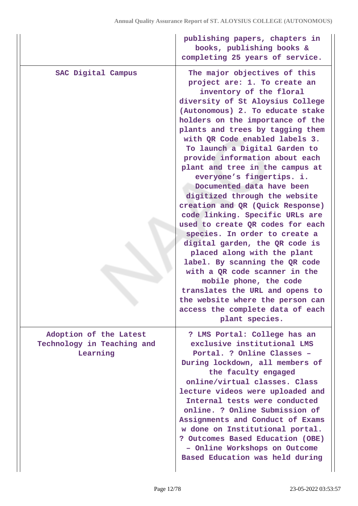|                                                                  | publishing papers, chapters in<br>books, publishing books &<br>completing 25 years of service.                                                                                                                                                                                                                                                                                                                                                                                                                                                                                                                                                                                                                                                                                                                                                                                                                    |
|------------------------------------------------------------------|-------------------------------------------------------------------------------------------------------------------------------------------------------------------------------------------------------------------------------------------------------------------------------------------------------------------------------------------------------------------------------------------------------------------------------------------------------------------------------------------------------------------------------------------------------------------------------------------------------------------------------------------------------------------------------------------------------------------------------------------------------------------------------------------------------------------------------------------------------------------------------------------------------------------|
| SAC Digital Campus                                               | The major objectives of this<br>project are: 1. To create an<br>inventory of the floral<br>diversity of St Aloysius College<br>(Autonomous) 2. To educate stake<br>holders on the importance of the<br>plants and trees by tagging them<br>with QR Code enabled labels 3.<br>To launch a Digital Garden to<br>provide information about each<br>plant and tree in the campus at<br>everyone's fingertips. i.<br>Documented data have been<br>digitized through the website<br>creation and QR (Quick Response)<br>code linking. Specific URLs are<br>used to create QR codes for each<br>species. In order to create a<br>digital garden, the QR code is<br>placed along with the plant<br>label. By scanning the QR code<br>with a QR code scanner in the<br>mobile phone, the code<br>translates the URL and opens to<br>the website where the person can<br>access the complete data of each<br>plant species. |
| Adoption of the Latest<br>Technology in Teaching and<br>Learning | ? LMS Portal: College has an<br>exclusive institutional LMS<br>Portal. ? Online Classes -<br>During lockdown, all members of<br>the faculty engaged<br>online/virtual classes. Class<br>lecture videos were uploaded and<br>Internal tests were conducted<br>online. ? Online Submission of<br>Assignments and Conduct of Exams<br>w done on Institutional portal.<br>? Outcomes Based Education (OBE)<br>- Online Workshops on Outcome<br>Based Education was held during                                                                                                                                                                                                                                                                                                                                                                                                                                        |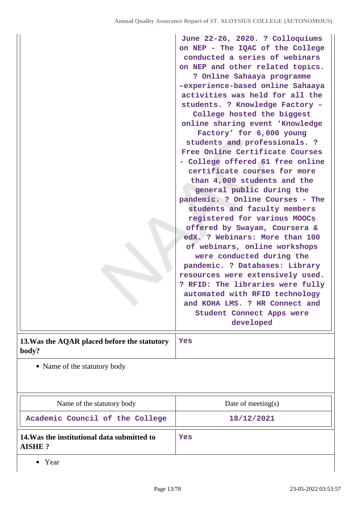|                                                       | June 22-26, 2020. ? Colloquiums<br>on NEP - The IQAC of the College<br>conducted a series of webinars<br>on NEP and other related topics.<br>? Online Sahaaya programme<br>-experience-based online Sahaaya<br>activities was held for all the<br>students. ? Knowledge Factory -<br>College hosted the biggest<br>online sharing event 'Knowledge<br>Factory' for 6,000 young<br>students and professionals. ?<br>Free Online Certificate Courses<br>- College offered 61 free online<br>certificate courses for more<br>than 4,000 students and the<br>general public during the<br>pandemic. ? Online Courses - The<br>students and faculty members<br>registered for various MOOCs<br>offered by Swayam, Coursera &<br>edX. ? Webinars: More than 100<br>of webinars, online workshops<br>were conducted during the<br>pandemic. ? Databases: Library |
|-------------------------------------------------------|-----------------------------------------------------------------------------------------------------------------------------------------------------------------------------------------------------------------------------------------------------------------------------------------------------------------------------------------------------------------------------------------------------------------------------------------------------------------------------------------------------------------------------------------------------------------------------------------------------------------------------------------------------------------------------------------------------------------------------------------------------------------------------------------------------------------------------------------------------------|
|                                                       | resources were extensively used.<br>? RFID: The libraries were fully<br>automated with RFID technology                                                                                                                                                                                                                                                                                                                                                                                                                                                                                                                                                                                                                                                                                                                                                    |
|                                                       | and KOHA LMS. ? HR Connect and<br>Student Connect Apps were<br>developed                                                                                                                                                                                                                                                                                                                                                                                                                                                                                                                                                                                                                                                                                                                                                                                  |
| 13. Was the AQAR placed before the statutory<br>body? | Yes                                                                                                                                                                                                                                                                                                                                                                                                                                                                                                                                                                                                                                                                                                                                                                                                                                                       |

Name of the statutory body

| Name of the statutory body                                   | Date of meeting $(s)$ |
|--------------------------------------------------------------|-----------------------|
| Academic Council of the College                              | 18/12/2021            |
| 14. Was the institutional data submitted to<br><b>AISHE?</b> | Yes                   |

• Year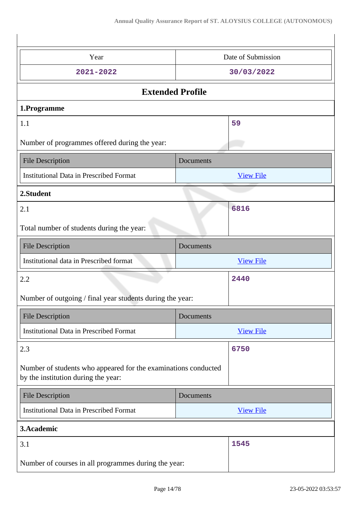| Year                                                                                                  | Date of Submission |  |
|-------------------------------------------------------------------------------------------------------|--------------------|--|
| 2021-2022                                                                                             | 30/03/2022         |  |
| <b>Extended Profile</b>                                                                               |                    |  |
| 1.Programme                                                                                           |                    |  |
| 1.1                                                                                                   | 59                 |  |
| Number of programmes offered during the year:                                                         |                    |  |
| <b>File Description</b>                                                                               | Documents          |  |
| <b>Institutional Data in Prescribed Format</b>                                                        | <b>View File</b>   |  |
| 2.Student                                                                                             |                    |  |
| 2.1                                                                                                   | 6816               |  |
| Total number of students during the year:                                                             |                    |  |
| <b>File Description</b>                                                                               | Documents          |  |
| Institutional data in Prescribed format                                                               |                    |  |
|                                                                                                       | <b>View File</b>   |  |
| 2.2                                                                                                   | 2440               |  |
| Number of outgoing / final year students during the year:                                             |                    |  |
| <b>File Description</b>                                                                               | Documents          |  |
| <b>Institutional Data in Prescribed Format</b>                                                        | <b>View File</b>   |  |
| 2.3                                                                                                   | 6750               |  |
| Number of students who appeared for the examinations conducted<br>by the institution during the year: |                    |  |
| <b>File Description</b>                                                                               | Documents          |  |
| <b>Institutional Data in Prescribed Format</b>                                                        | <b>View File</b>   |  |
| 3.Academic                                                                                            |                    |  |
| 3.1                                                                                                   | 1545               |  |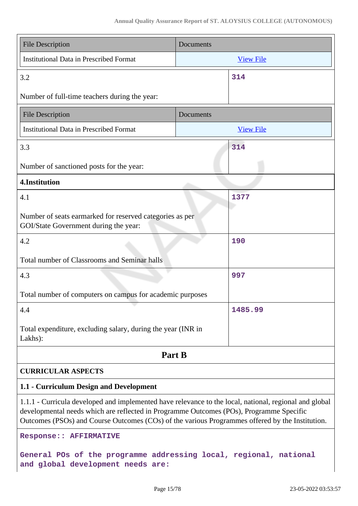| <b>File Description</b>                                                                                                                                                                                                                                                                              | Documents        |  |
|------------------------------------------------------------------------------------------------------------------------------------------------------------------------------------------------------------------------------------------------------------------------------------------------------|------------------|--|
| <b>Institutional Data in Prescribed Format</b>                                                                                                                                                                                                                                                       | <b>View File</b> |  |
| 3.2                                                                                                                                                                                                                                                                                                  | 314              |  |
| Number of full-time teachers during the year:                                                                                                                                                                                                                                                        |                  |  |
| <b>File Description</b><br>Documents                                                                                                                                                                                                                                                                 |                  |  |
| <b>Institutional Data in Prescribed Format</b>                                                                                                                                                                                                                                                       | <b>View File</b> |  |
| 3.3                                                                                                                                                                                                                                                                                                  | 314              |  |
| Number of sanctioned posts for the year:                                                                                                                                                                                                                                                             |                  |  |
| 4.Institution                                                                                                                                                                                                                                                                                        |                  |  |
| 4.1                                                                                                                                                                                                                                                                                                  | 1377             |  |
| Number of seats earmarked for reserved categories as per<br>GOI/State Government during the year:                                                                                                                                                                                                    |                  |  |
| 4.2                                                                                                                                                                                                                                                                                                  | 190              |  |
| Total number of Classrooms and Seminar halls                                                                                                                                                                                                                                                         |                  |  |
| 4.3                                                                                                                                                                                                                                                                                                  | 997              |  |
| Total number of computers on campus for academic purposes                                                                                                                                                                                                                                            |                  |  |
| 4.4                                                                                                                                                                                                                                                                                                  | 1485.99          |  |
| Total expenditure, excluding salary, during the year (INR in<br>Lakhs):                                                                                                                                                                                                                              |                  |  |
| Part B                                                                                                                                                                                                                                                                                               |                  |  |
| <b>CURRICULAR ASPECTS</b>                                                                                                                                                                                                                                                                            |                  |  |
| 1.1 - Curriculum Design and Development                                                                                                                                                                                                                                                              |                  |  |
| 1.1.1 - Curricula developed and implemented have relevance to the local, national, regional and global<br>developmental needs which are reflected in Programme Outcomes (POs), Programme Specific<br>Outcomes (PSOs) and Course Outcomes (COs) of the various Programmes offered by the Institution. |                  |  |
| <b>Response:: AFFIRMATIVE</b>                                                                                                                                                                                                                                                                        |                  |  |
| General POs of the programme addressing local, regional, national<br>and global development needs are:                                                                                                                                                                                               |                  |  |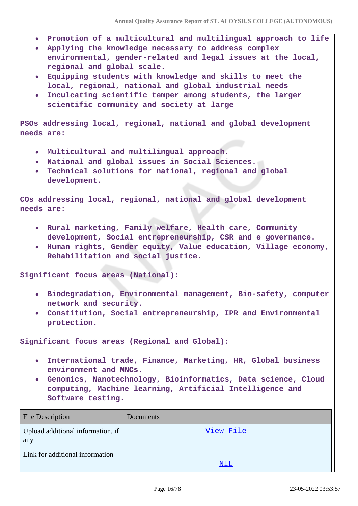- **Promotion of a multicultural and multilingual approach to life**
- **Applying the knowledge necessary to address complex environmental, gender-related and legal issues at the local, regional and global scale.**
- **Equipping students with knowledge and skills to meet the local, regional, national and global industrial needs**
- **Inculcating scientific temper among students, the larger scientific community and society at large**

**PSOs addressing local, regional, national and global development needs are:**

- **Multicultural and multilingual approach.**
- **National and global issues in Social Sciences.**
- **Technical solutions for national, regional and global development.**

**COs addressing local, regional, national and global development needs are:**

- **Rural marketing, Family welfare, Health care, Community development, Social entrepreneurship, CSR and e governance.**
- **Human rights, Gender equity, Value education, Village economy, Rehabilitation and social justice.**

**Significant focus areas (National):**

- **Biodegradation, Environmental management, Bio-safety, computer network and security.**
- **Constitution, Social entrepreneurship, IPR and Environmental protection.**

**Significant focus areas (Regional and Global):**

- **International trade, Finance, Marketing, HR, Global business environment and MNCs.**
- **Genomics, Nanotechnology, Bioinformatics, Data science, Cloud computing, Machine learning, Artificial Intelligence and Software testing.**

| <b>File Description</b>                  | Documents |
|------------------------------------------|-----------|
| Upload additional information, if<br>any | View File |
| Link for additional information          | NIL       |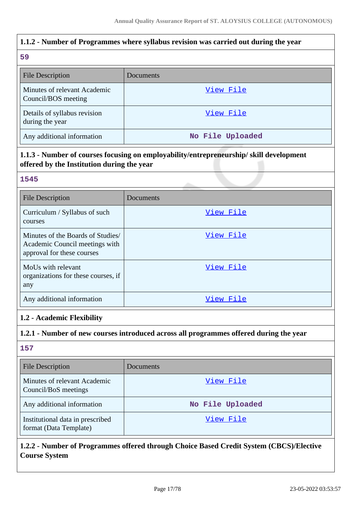# **1.1.2 - Number of Programmes where syllabus revision was carried out during the year**

### **59**

| -22                                                 |                  |
|-----------------------------------------------------|------------------|
| <b>File Description</b>                             | Documents        |
| Minutes of relevant Academic<br>Council/BOS meeting | View File        |
| Details of syllabus revision<br>during the year     | View File        |
| Any additional information                          | No File Uploaded |

# **1.1.3 - Number of courses focusing on employability/entrepreneurship/ skill development offered by the Institution during the year**

## **1545**

| <b>File Description</b>                                                                          | Documents |
|--------------------------------------------------------------------------------------------------|-----------|
| Curriculum / Syllabus of such<br>courses                                                         | View File |
| Minutes of the Boards of Studies<br>Academic Council meetings with<br>approval for these courses | View File |
| MoUs with relevant<br>organizations for these courses, if<br>any                                 | View File |
| Any additional information                                                                       | View File |

# **1.2 - Academic Flexibility**

### **1.2.1 - Number of new courses introduced across all programmes offered during the year**

**157**

| <b>File Description</b>                                    | Documents        |
|------------------------------------------------------------|------------------|
| Minutes of relevant Academic<br>Council/BoS meetings       | View File        |
| Any additional information                                 | No File Uploaded |
| Institutional data in prescribed<br>format (Data Template) | View File        |

# **1.2.2 - Number of Programmes offered through Choice Based Credit System (CBCS)/Elective Course System**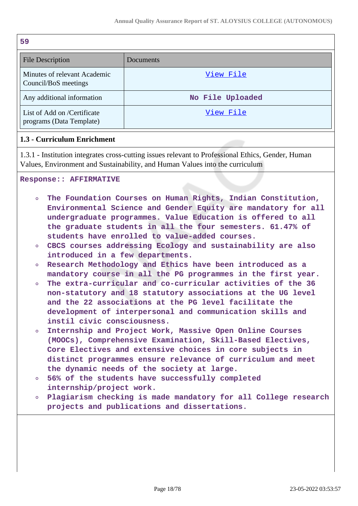| 59                                                      |                  |
|---------------------------------------------------------|------------------|
| <b>File Description</b>                                 | Documents        |
| Minutes of relevant Academic<br>Council/BoS meetings    | View File        |
| Any additional information                              | No File Uploaded |
| List of Add on /Certificate<br>programs (Data Template) | View File        |

### **1.3 - Curriculum Enrichment**

1.3.1 - Institution integrates cross-cutting issues relevant to Professional Ethics, Gender, Human Values, Environment and Sustainability, and Human Values into the curriculum

**Response:: AFFIRMATIVE**

- **The Foundation Courses on Human Rights, Indian Constitution,**  $\Omega$ **Environmental Science and Gender Equity are mandatory for all undergraduate programmes. Value Education is offered to all the graduate students in all the four semesters. 61.47% of students have enrolled to value-added courses.**
- **CBCS courses addressing Ecology and sustainability are also introduced in a few departments.**
- **Research Methodology and Ethics have been introduced as a mandatory course in all the PG programmes in the first year.**
- **The extra-curricular and co-curricular activities of the 36 non-statutory and 18 statutory associations at the UG level and the 22 associations at the PG level facilitate the development of interpersonal and communication skills and instil civic consciousness.**
- $\circ$ **Internship and Project Work, Massive Open Online Courses (MOOCs), Comprehensive Examination, Skill-Based Electives, Core Electives and extensive choices in core subjects in distinct programmes ensure relevance of curriculum and meet the dynamic needs of the society at large.**
- **56% of the students have successfully completed**  $\circ$ **internship/project work.**
- **Plagiarism checking is made mandatory for all College research**  $\circ$ **projects and publications and dissertations.**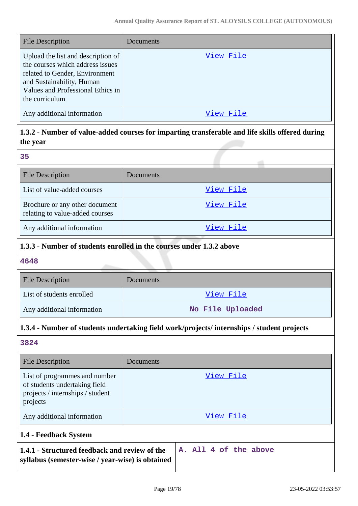| <b>File Description</b>                                                                                                                                                                      | Documents |
|----------------------------------------------------------------------------------------------------------------------------------------------------------------------------------------------|-----------|
| Upload the list and description of<br>the courses which address issues<br>related to Gender, Environment<br>and Sustainability, Human<br>Values and Professional Ethics in<br>the curriculum | View File |
| Any additional information                                                                                                                                                                   | View File |

# **1.3.2 - Number of value-added courses for imparting transferable and life skills offered during the year**

| ÷ | ۰.<br>. .           |
|---|---------------------|
| ٩ | ۰.<br>×<br>. .<br>w |

| <b>File Description</b>                                           | <b>Documents</b> |
|-------------------------------------------------------------------|------------------|
| List of value-added courses                                       | View File        |
| Brochure or any other document<br>relating to value-added courses | View File        |
| Any additional information                                        | View File        |

# **1.3.3 - Number of students enrolled in the courses under 1.3.2 above**

### **4648**

| <b>File Description</b>    | <b>Documents</b> |
|----------------------------|------------------|
| List of students enrolled  | View File        |
| Any additional information | No File Uploaded |

# **1.3.4 - Number of students undertaking field work/projects/ internships / student projects**

# **3824**

| <b>File Description</b>                                                                                        | Documents             |
|----------------------------------------------------------------------------------------------------------------|-----------------------|
| List of programmes and number<br>of students undertaking field<br>projects / internships / student<br>projects | View File             |
| Any additional information                                                                                     | View File             |
| 1.4 - Feedback System                                                                                          |                       |
| 1.4.1 - Structured feedback and review of the<br>syllabus (semester-wise / year-wise) is obtained              | A. All 4 of the above |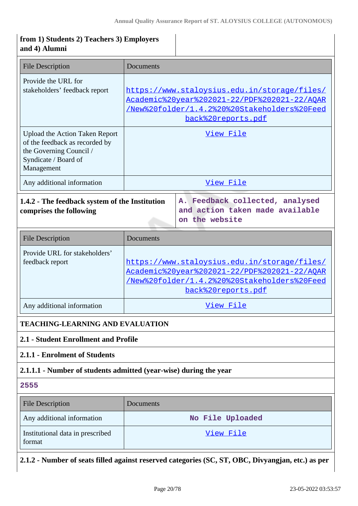| from 1) Students 2) Teachers 3) Employers<br>and 4) Alumni                                                                               |           |                                                                                                                                                                    |
|------------------------------------------------------------------------------------------------------------------------------------------|-----------|--------------------------------------------------------------------------------------------------------------------------------------------------------------------|
| <b>File Description</b>                                                                                                                  | Documents |                                                                                                                                                                    |
| Provide the URL for<br>stakeholders' feedback report                                                                                     |           | https://www.staloysius.edu.in/storage/files/<br>Academic%20year%202021-22/PDF%202021-22/AQAR<br>/New%20folder/1.4.2%20%20Stakeholders%20Feed<br>back%20reports.pdf |
| <b>Upload the Action Taken Report</b><br>of the feedback as recorded by<br>the Governing Council /<br>Syndicate / Board of<br>Management | View File |                                                                                                                                                                    |
| Any additional information                                                                                                               |           | <u>View File</u>                                                                                                                                                   |
| 1.4.2 - The feedback system of the Institution<br>comprises the following                                                                |           | A. Feedback collected, analysed<br>and action taken made available<br>on the website                                                                               |
| <b>File Description</b>                                                                                                                  | Documents |                                                                                                                                                                    |
| Provide URL for stakeholders'<br>feedback report                                                                                         |           | https://www.staloysius.edu.in/storage/files/<br>Academic%20year%202021-22/PDF%202021-22/AQAR<br>/New%20folder/1.4.2%20%20Stakeholders%20Feed<br>back%20reports.pdf |
| Any additional information                                                                                                               | View File |                                                                                                                                                                    |
| <b>TEACHING-LEARNING AND EVALUATION</b>                                                                                                  |           |                                                                                                                                                                    |
| 2.1 - Student Enrollment and Profile                                                                                                     |           |                                                                                                                                                                    |
| 2.1.1 - Enrolment of Students                                                                                                            |           |                                                                                                                                                                    |
| 2.1.1.1 - Number of students admitted (year-wise) during the year                                                                        |           |                                                                                                                                                                    |
| 2555                                                                                                                                     |           |                                                                                                                                                                    |
| <b>File Description</b>                                                                                                                  | Documents |                                                                                                                                                                    |
| Any additional information                                                                                                               |           | No File Uploaded                                                                                                                                                   |
| Institutional data in prescribed<br>format                                                                                               |           | <u>View File</u>                                                                                                                                                   |
|                                                                                                                                          |           | 2.1.2 - Number of seats filled against reserved categories (SC, ST, OBC, Divyangjan, etc.) as per                                                                  |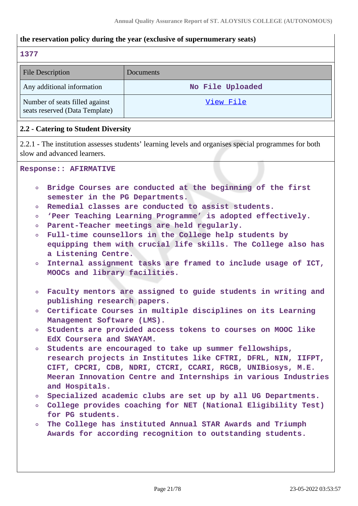### **the reservation policy during the year (exclusive of supernumerary seats)**

#### **1377**

| <b>File Description</b>                                          | Documents        |
|------------------------------------------------------------------|------------------|
| Any additional information                                       | No File Uploaded |
| Number of seats filled against<br>seats reserved (Data Template) | <u>View File</u> |

#### **2.2 - Catering to Student Diversity**

2.2.1 - The institution assesses students' learning levels and organises special programmes for both slow and advanced learners.

#### **Response:: AFIRMATIVE**

- **Bridge Courses are conducted at the beginning of the first**  $\circ$ **semester in the PG Departments.**
- **Remedial classes are conducted to assist students.**
- **'Peer Teaching Learning Programme' is adopted effectively.**  $\circ$
- **Parent-Teacher meetings are held regularly.**  $\circ$
- **Full-time counsellors in the College help students by equipping them with crucial life skills. The College also has a Listening Centre.**
- **Internal assignment tasks are framed to include usage of ICT,**  $\circ$ **MOOCs and library facilities.**
- **Faculty mentors are assigned to guide students in writing and publishing research papers.**
- **Certificate Courses in multiple disciplines on its Learning**  $\circ$ **Management Software (LMS).**
- **Students are provided access tokens to courses on MOOC like**  $\Omega$ **EdX Coursera and SWAYAM.**
- **Students are encouraged to take up summer fellowships, research projects in Institutes like CFTRI, DFRL, NIN, IIFPT, CIFT, CPCRI, CDB, NDRI, CTCRI, CCARI, RGCB, UNIBiosys, M.E. Meeran Innovation Centre and Internships in various Industries and Hospitals.**
- **Specialized academic clubs are set up by all UG Departments.**  $\circ$
- **College provides coaching for NET (National Eligibility Test) for PG students.**
- **The College has instituted Annual STAR Awards and Triumph**  $\circ$ **Awards for according recognition to outstanding students.**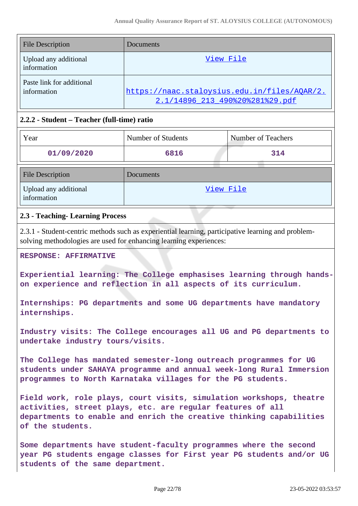| <b>File Description</b>                  | Documents                                                                       |
|------------------------------------------|---------------------------------------------------------------------------------|
| Upload any additional<br>information     | View File                                                                       |
| Paste link for additional<br>information | https://naac.staloysius.edu.in/files/AQAR/2.<br>2.1/14896 213 490%20%281%29.pdf |

### **2.2.2 - Student – Teacher (full-time) ratio**

| Year                                 | Number of Students | Number of Teachers |
|--------------------------------------|--------------------|--------------------|
| 01/09/2020                           | 6816               | 314                |
| <b>File Description</b>              | Documents          |                    |
| Upload any additional<br>information | View File          |                    |

### **2.3 - Teaching- Learning Process**

2.3.1 - Student-centric methods such as experiential learning, participative learning and problemsolving methodologies are used for enhancing learning experiences:

**RESPONSE: AFFIRMATIVE**

**Experiential learning: The College emphasises learning through handson experience and reflection in all aspects of its curriculum.**

**Internships: PG departments and some UG departments have mandatory internships.**

**Industry visits: The College encourages all UG and PG departments to undertake industry tours/visits.**

**The College has mandated semester-long outreach programmes for UG students under SAHAYA programme and annual week-long Rural Immersion programmes to North Karnataka villages for the PG students.**

**Field work, role plays, court visits, simulation workshops, theatre activities, street plays, etc. are regular features of all departments to enable and enrich the creative thinking capabilities of the students.**

**Some departments have student-faculty programmes where the second year PG students engage classes for First year PG students and/or UG students of the same department.**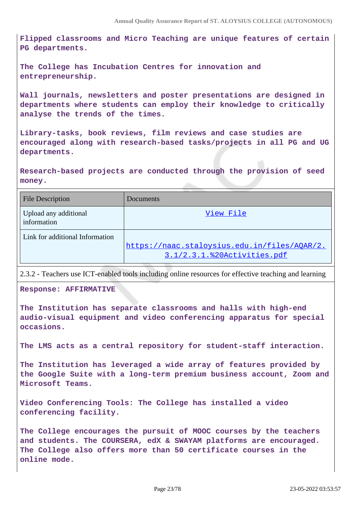**Flipped classrooms and Micro Teaching are unique features of certain PG departments.**

**The College has Incubation Centres for innovation and entrepreneurship.**

**Wall journals, newsletters and poster presentations are designed in departments where students can employ their knowledge to critically analyse the trends of the times.**

**Library-tasks, book reviews, film reviews and case studies are encouraged along with research-based tasks/projects in all PG and UG departments.**

**Research-based projects are conducted through the provision of seed money.**

| <b>File Description</b>              | <b>Documents</b>                                                            |
|--------------------------------------|-----------------------------------------------------------------------------|
| Upload any additional<br>information | View File                                                                   |
| Link for additional Information      | https://naac.staloysius.edu.in/files/AOAR/2.<br>3.1/2.3.1.%20Activities.pdf |

2.3.2 - Teachers use ICT-enabled tools including online resources for effective teaching and learning

**Response: AFFIRMATIVE**

**The Institution has separate classrooms and halls with high-end audio-visual equipment and video conferencing apparatus for special occasions.**

**The LMS acts as a central repository for student-staff interaction.**

**The Institution has leveraged a wide array of features provided by the Google Suite with a long-term premium business account, Zoom and Microsoft Teams.**

**Video Conferencing Tools: The College has installed a video conferencing facility.**

**The College encourages the pursuit of MOOC courses by the teachers and students. The COURSERA, edX & SWAYAM platforms are encouraged. The College also offers more than 50 certificate courses in the online mode.**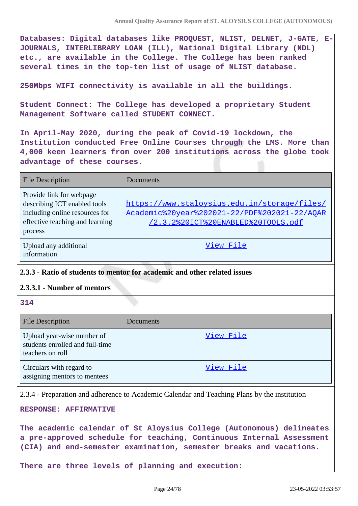**Databases: Digital databases like PROQUEST, NLIST, DELNET, J-GATE, E-JOURNALS, INTERLIBRARY LOAN (ILL), National Digital Library (NDL) etc., are available in the College. The College has been ranked several times in the top-ten list of usage of NLIST database.**

**250Mbps WIFI connectivity is available in all the buildings.**

**Student Connect: The College has developed a proprietary Student Management Software called STUDENT CONNECT.**

**In April-May 2020, during the peak of Covid-19 lockdown, the Institution conducted Free Online Courses through the LMS. More than 4,000 keen learners from over 200 institutions across the globe took advantage of these courses.**

| <b>File Description</b>                                                                                                                  | Documents                                                                                                                          |
|------------------------------------------------------------------------------------------------------------------------------------------|------------------------------------------------------------------------------------------------------------------------------------|
| Provide link for webpage<br>describing ICT enabled tools<br>including online resources for<br>effective teaching and learning<br>process | https://www.staloysius.edu.in/storage/files/<br>Academic%20year%202021-22/PDF%202021-22/AOAR<br>/2.3.2%20ICT%20ENABLED%20TOOLS.pdf |
| Upload any additional<br>information                                                                                                     | View File                                                                                                                          |

### **2.3.3 - Ratio of students to mentor for academic and other related issues**

### **2.3.3.1 - Number of mentors**

**314**

| <b>File Description</b>                                                           | Documents |
|-----------------------------------------------------------------------------------|-----------|
| Upload year-wise number of<br>students enrolled and full-time<br>teachers on roll | View File |
| Circulars with regard to<br>assigning mentors to mentees                          | View File |

2.3.4 - Preparation and adherence to Academic Calendar and Teaching Plans by the institution

**RESPONSE: AFFIRMATIVE**

**The academic calendar of St Aloysius College (Autonomous) delineates a pre-approved schedule for teaching, Continuous Internal Assessment (CIA) and end-semester examination, semester breaks and vacations.** 

**There are three levels of planning and execution:**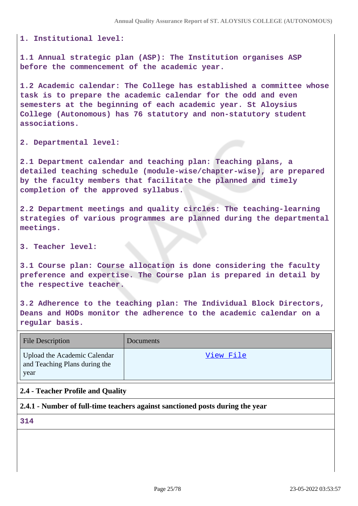**1. Institutional level:**

**1.1 Annual strategic plan (ASP): The Institution organises ASP before the commencement of the academic year.**

**1.2 Academic calendar: The College has established a committee whose task is to prepare the academic calendar for the odd and even semesters at the beginning of each academic year. St Aloysius College (Autonomous) has 76 statutory and non-statutory student associations.**

**2. Departmental level:**

**2.1 Department calendar and teaching plan: Teaching plans, a detailed teaching schedule (module-wise/chapter-wise), are prepared by the faculty members that facilitate the planned and timely completion of the approved syllabus.**

**2.2 Department meetings and quality circles: The teaching-learning strategies of various programmes are planned during the departmental meetings.**

**3. Teacher level:**

**3.1 Course plan: Course allocation is done considering the faculty preference and expertise. The Course plan is prepared in detail by the respective teacher.**

**3.2 Adherence to the teaching plan: The Individual Block Directors, Deans and HODs monitor the adherence to the academic calendar on a regular basis.**

| <b>File Description</b>                                               | <b>Documents</b> |
|-----------------------------------------------------------------------|------------------|
| Upload the Academic Calendar<br>and Teaching Plans during the<br>year | <u>View File</u> |

### **2.4 - Teacher Profile and Quality**

#### **2.4.1 - Number of full-time teachers against sanctioned posts during the year**

**314**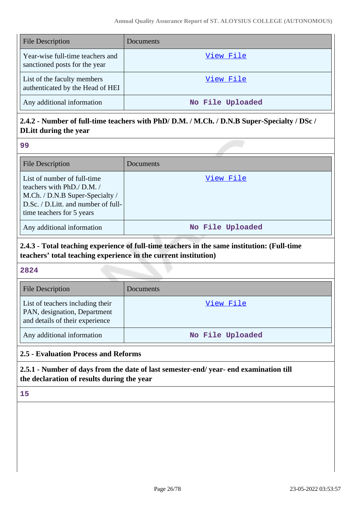| <b>File Description</b>                                           | Documents        |
|-------------------------------------------------------------------|------------------|
| Year-wise full-time teachers and<br>sanctioned posts for the year | View File        |
| List of the faculty members<br>authenticated by the Head of HEI   | View File        |
| Any additional information                                        | No File Uploaded |

# **2.4.2 - Number of full-time teachers with PhD/ D.M. / M.Ch. / D.N.B Super-Specialty / DSc / DLitt during the year**

#### **99**

| <b>File Description</b>                                                                                                                                          | Documents        |
|------------------------------------------------------------------------------------------------------------------------------------------------------------------|------------------|
| List of number of full-time<br>teachers with PhD./ D.M. /<br>M.Ch. / D.N.B Super-Specialty /<br>D.Sc. / D.Litt. and number of full-<br>time teachers for 5 years | View File        |
| Any additional information                                                                                                                                       | No File Uploaded |

# **2.4.3 - Total teaching experience of full-time teachers in the same institution: (Full-time teachers' total teaching experience in the current institution)**

### **2824**

| <b>File Description</b>                                                                             | Documents        |
|-----------------------------------------------------------------------------------------------------|------------------|
| List of teachers including their<br>PAN, designation, Department<br>and details of their experience | View File        |
| Any additional information                                                                          | No File Uploaded |

### **2.5 - Evaluation Process and Reforms**

**2.5.1 - Number of days from the date of last semester-end/ year- end examination till the declaration of results during the year**

**15**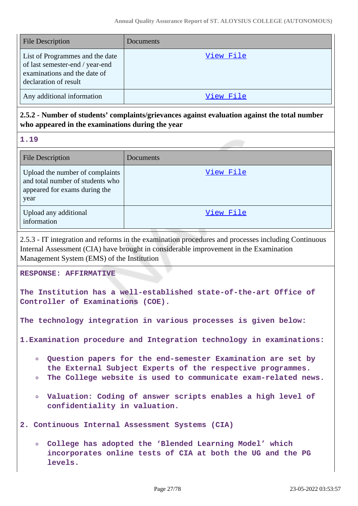| <b>File Description</b>                                                                                                     | Documents |
|-----------------------------------------------------------------------------------------------------------------------------|-----------|
| List of Programmes and the date<br>of last semester-end / year-end<br>examinations and the date of<br>declaration of result | View File |
| Any additional information                                                                                                  | View File |

# **2.5.2 - Number of students' complaints/grievances against evaluation against the total number who appeared in the examinations during the year**

**1.19**

| <b>File Description</b>                                                                                      | Documents |
|--------------------------------------------------------------------------------------------------------------|-----------|
| Upload the number of complaints<br>and total number of students who<br>appeared for exams during the<br>year | View File |
| Upload any additional<br>information                                                                         | View File |

2.5.3 - IT integration and reforms in the examination procedures and processes including Continuous Internal Assessment (CIA) have brought in considerable improvement in the Examination Management System (EMS) of the Institution

**RESPONSE: AFFIRMATIVE**

**The Institution has a well-established state-of-the-art Office of Controller of Examinations (COE).**

**The technology integration in various processes is given below:**

**1.Examination procedure and Integration technology in examinations:** 

- **Question papers for the end-semester Examination are set by the External Subject Experts of the respective programmes.**
- **The College website is used to communicate exam-related news.**
- **Valuation: Coding of answer scripts enables a high level of confidentiality in valuation.**

**2. Continuous Internal Assessment Systems (CIA)**

**College has adopted the 'Blended Learning Model' which incorporates online tests of CIA at both the UG and the PG levels.**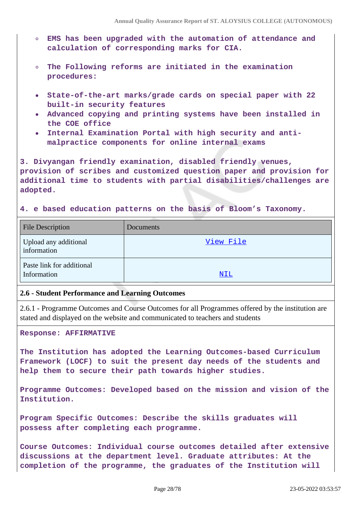- **EMS has been upgraded with the automation of attendance and calculation of corresponding marks for CIA.**
- **The Following reforms are initiated in the examination procedures:**
- **State-of-the-art marks/grade cards on special paper with 22 built-in security features**
- **Advanced copying and printing systems have been installed in the COE office**
- **Internal Examination Portal with high security and antimalpractice components for online internal exams**

**3. Divyangan friendly examination, disabled friendly venues, provision of scribes and customized question paper and provision for additional time to students with partial disabilities/challenges are adopted.**

#### **4. e based education patterns on the basis of Bloom's Taxonomy.**

| <b>File Description</b>                  | Documents |
|------------------------------------------|-----------|
| Upload any additional<br>information     | View File |
| Paste link for additional<br>Information | NIL       |

#### **2.6 - Student Performance and Learning Outcomes**

2.6.1 - Programme Outcomes and Course Outcomes for all Programmes offered by the institution are stated and displayed on the website and communicated to teachers and students

**Response: AFFIRMATIVE**

**The Institution has adopted the Learning Outcomes-based Curriculum Framework (LOCF) to suit the present day needs of the students and help them to secure their path towards higher studies.**

**Programme Outcomes: Developed based on the mission and vision of the Institution.**

**Program Specific Outcomes: Describe the skills graduates will possess after completing each programme.**

**Course Outcomes: Individual course outcomes detailed after extensive discussions at the department level. Graduate attributes: At the completion of the programme, the graduates of the Institution will**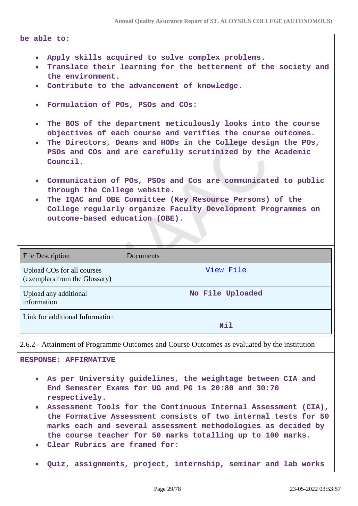#### **be able to:**

- **Apply skills acquired to solve complex problems.**
- **Translate their learning for the betterment of the society and the environment.**
- **Contribute to the advancement of knowledge.**
- **Formulation of POs, PSOs and COs:**  $\bullet$
- **The BOS of the department meticulously looks into the course**  $\bullet$ **objectives of each course and verifies the course outcomes.**
- **The Directors, Deans and HODs in the College design the POs,**  $\bullet$ **PSOs and COs and are carefully scrutinized by the Academic Council.**
- **Communication of POs, PSOs and Cos are communicated to public through the College website.**
- **The IQAC and OBE Committee (Key Resource Persons) of the College regularly organize Faculty Development Programmes on outcome-based education (OBE).**

| <b>File Description</b>                                     | Documents        |
|-------------------------------------------------------------|------------------|
| Upload COs for all courses<br>(exemplars from the Glossary) | View File        |
| Upload any additional<br>information                        | No File Uploaded |
| Link for additional Information                             | Nil              |

2.6.2 - Attainment of Programme Outcomes and Course Outcomes as evaluated by the institution

**RESPONSE: AFFIRMATIVE**

- **As per University guidelines, the weightage between CIA and End Semester Exams for UG and PG is 20:80 and 30:70 respectively.**
- **Assessment Tools for the Continuous Internal Assessment (CIA), the Formative Assessment consists of two internal tests for 50 marks each and several assessment methodologies as decided by the course teacher for 50 marks totalling up to 100 marks.**
- **Clear Rubrics are framed for:**
- **Quiz, assignments, project, internship, seminar and lab works**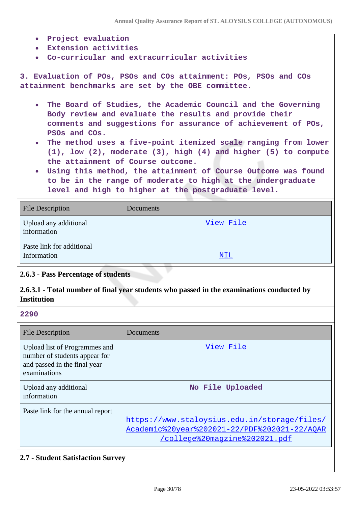- **Project evaluation**
- **Extension activities**
- **Co-curricular and extracurricular activities**

**3. Evaluation of POs, PSOs and COs attainment: POs, PSOs and COs attainment benchmarks are set by the OBE committee.**

- **The Board of Studies, the Academic Council and the Governing**  $\bullet$ **Body review and evaluate the results and provide their comments and suggestions for assurance of achievement of POs, PSOs and COs.**
- **The method uses a five-point itemized scale ranging from lower (1), low (2), moderate (3), high (4) and higher (5) to compute the attainment of Course outcome.**
- **Using this method, the attainment of Course Outcome was found to be in the range of moderate to high at the undergraduate level and high to higher at the postgraduate level.**

| <b>File Description</b>                  | Documents |
|------------------------------------------|-----------|
| Upload any additional<br>information     | View File |
| Paste link for additional<br>Information | NIL       |

### **2.6.3 - Pass Percentage of students**

### **2.6.3.1 - Total number of final year students who passed in the examinations conducted by Institution**

#### **2290**

| <b>File Description</b>                                                                                        | Documents                                                                                                                     |
|----------------------------------------------------------------------------------------------------------------|-------------------------------------------------------------------------------------------------------------------------------|
| Upload list of Programmes and<br>number of students appear for<br>and passed in the final year<br>examinations | View File                                                                                                                     |
| Upload any additional<br>information                                                                           | No File Uploaded                                                                                                              |
| Paste link for the annual report                                                                               | https://www.staloysius.edu.in/storage/files/<br>Academic%20year%202021-22/PDF%202021-22/AOAR<br>/college%20magzine%202021.pdf |

#### **2.7 - Student Satisfaction Survey**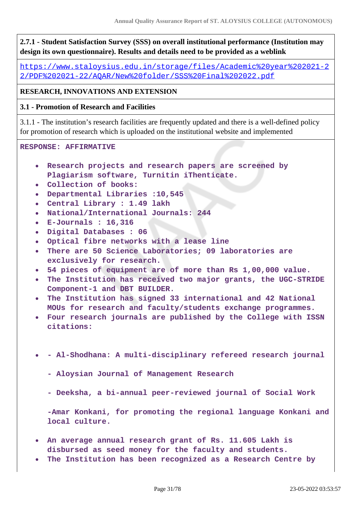**2.7.1 - Student Satisfaction Survey (SSS) on overall institutional performance (Institution may design its own questionnaire). Results and details need to be provided as a weblink**

[https://www.staloysius.edu.in/storage/files/Academic%20year%202021-2](https://www.staloysius.edu.in/storage/files/Academic%20year%202021-22/PDF%202021-22/AQAR/New%20folder/SSS%20Final%202022.pdf) [2/PDF%202021-22/AQAR/New%20folder/SSS%20Final%202022.pdf](https://www.staloysius.edu.in/storage/files/Academic%20year%202021-22/PDF%202021-22/AQAR/New%20folder/SSS%20Final%202022.pdf)

# **RESEARCH, INNOVATIONS AND EXTENSION**

### **3.1 - Promotion of Research and Facilities**

3.1.1 - The institution's research facilities are frequently updated and there is a well-defined policy for promotion of research which is uploaded on the institutional website and implemented

#### **RESPONSE: AFFIRMATIVE**

- $\bullet$ **Research projects and research papers are screened by Plagiarism software, Turnitin iThenticate.**
- **Collection of books:**
- **Departmental Libraries :10,545**
- **Central Library : 1.49 lakh**
- **National/International Journals: 244**  $\bullet$
- **E-Journals : 16,316**
- **Digital Databases : 06**
- **Optical fibre networks with a lease line**
- **There are 50 Science Laboratories; 09 laboratories are exclusively for research.**
- **54 pieces of equipment are of more than Rs 1,00,000 value.**
- **The Institution has received two major grants, the UGC-STRIDE Component-1 and DBT BUILDER.**
- **The Institution has signed 33 international and 42 National MOUs for research and faculty/students exchange programmes.**
- **Four research journals are published by the College with ISSN citations:**
- **Al-Shodhana: A multi-disciplinary refereed research journal**  $\bullet$ 
	- **Aloysian Journal of Management Research**
	- **Deeksha, a bi-annual peer-reviewed journal of Social Work**

**-Amar Konkani, for promoting the regional language Konkani and local culture.**

- **An average annual research grant of Rs. 11.605 Lakh is disbursed as seed money for the faculty and students.**
- **The Institution has been recognized as a Research Centre by**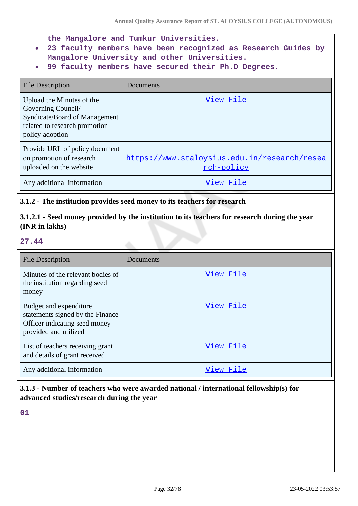**the Mangalore and Tumkur Universities.**

- **23 faculty members have been recognized as Research Guides by Mangalore University and other Universities.**
- **99 faculty members have secured their Ph.D Degrees.**  $\bullet$

| <b>File Description</b>                                                                                                              | Documents                                                  |
|--------------------------------------------------------------------------------------------------------------------------------------|------------------------------------------------------------|
| Upload the Minutes of the<br>Governing Council/<br>Syndicate/Board of Management<br>related to research promotion<br>policy adoption | View File                                                  |
| Provide URL of policy document<br>on promotion of research<br>uploaded on the website                                                | https://www.staloysius.edu.in/research/resea<br>rch-policy |
| Any additional information                                                                                                           | View File                                                  |

### **3.1.2 - The institution provides seed money to its teachers for research**

**3.1.2.1 - Seed money provided by the institution to its teachers for research during the year (INR in lakhs)**

#### **27.44**

| <b>File Description</b>                                                                                              | Documents |
|----------------------------------------------------------------------------------------------------------------------|-----------|
| Minutes of the relevant bodies of<br>the institution regarding seed<br>money                                         | View File |
| Budget and expenditure<br>statements signed by the Finance<br>Officer indicating seed money<br>provided and utilized | View File |
| List of teachers receiving grant<br>and details of grant received                                                    | View File |
| Any additional information                                                                                           | View File |

# **3.1.3 - Number of teachers who were awarded national / international fellowship(s) for advanced studies/research during the year**

**01**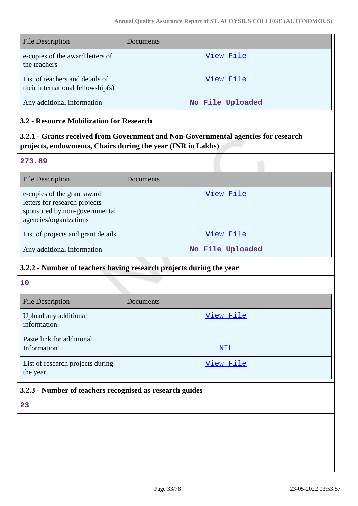| <b>File Description</b>                                              | Documents        |
|----------------------------------------------------------------------|------------------|
| e-copies of the award letters of<br>the teachers                     | View File        |
| List of teachers and details of<br>their international fellowship(s) | View File        |
| Any additional information                                           | No File Uploaded |

### **3.2 - Resource Mobilization for Research**

**3.2.1 - Grants received from Government and Non-Governmental agencies for research projects, endowments, Chairs during the year (INR in Lakhs)**

#### **273.89**

| <b>File Description</b>                                                                                                 | Documents        |
|-------------------------------------------------------------------------------------------------------------------------|------------------|
| e-copies of the grant award<br>letters for research projects<br>sponsored by non-governmental<br>agencies/organizations | View File        |
| List of projects and grant details                                                                                      | View File        |
| Any additional information                                                                                              | No File Uploaded |

## **3.2.2 - Number of teachers having research projects during the year**

**10**

| <b>File Description</b>                      | Documents  |
|----------------------------------------------|------------|
| Upload any additional<br>information         | View File  |
| Paste link for additional<br>Information     | <u>NIL</u> |
| List of research projects during<br>the year | View File  |

# **3.2.3 - Number of teachers recognised as research guides**

**23**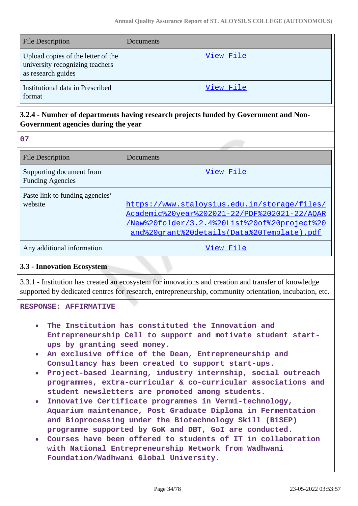| <b>File Description</b>                                                                     | Documents |
|---------------------------------------------------------------------------------------------|-----------|
| Upload copies of the letter of the<br>university recognizing teachers<br>as research guides | View File |
| Institutional data in Prescribed<br>format                                                  | View File |

# **3.2.4 - Number of departments having research projects funded by Government and Non-Government agencies during the year**

**07**

| <b>File Description</b>                             | Documents                                                                                                                                                                                  |
|-----------------------------------------------------|--------------------------------------------------------------------------------------------------------------------------------------------------------------------------------------------|
| Supporting document from<br><b>Funding Agencies</b> | View File                                                                                                                                                                                  |
| Paste link to funding agencies'<br>website          | https://www.staloysius.edu.in/storage/files/<br>Academic%20year%202021-22/PDF%202021-22/AQAR<br>/New%20folder/3.2.4%20List%20of%20project%20<br>and%20qrant%20details(Data%20Template).pdf |
| Any additional information                          | View File                                                                                                                                                                                  |

### **3.3 - Innovation Ecosystem**

3.3.1 - Institution has created an ecosystem for innovations and creation and transfer of knowledge supported by dedicated centres for research, entrepreneurship, community orientation, incubation, etc.

#### **RESPONSE: AFFIRMATIVE**

- **The Institution has constituted the Innovation and Entrepreneurship Cell to support and motivate student startups by granting seed money.**
- **An exclusive office of the Dean, Entrepreneurship and Consultancy has been created to support start-ups.**
- **Project-based learning, industry internship, social outreach programmes, extra-curricular & co-curricular associations and student newsletters are promoted among students.**
- **Innovative Certificate programmes in Vermi-technology, Aquarium maintenance, Post Graduate Diploma in Fermentation and Bioprocessing under the Biotechnology Skill (BiSEP) programme supported by GoK and DBT, GoI are conducted.**
- **Courses have been offered to students of IT in collaboration with National Entrepreneurship Network from Wadhwani Foundation/Wadhwani Global University.**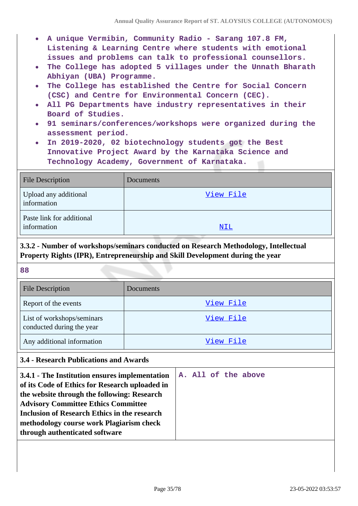- **A unique Vermibin, Community Radio Sarang 107.8 FM, Listening & Learning Centre where students with emotional issues and problems can talk to professional counsellors.**
- **The College has adopted 5 villages under the Unnath Bharath Abhiyan (UBA) Programme.**
- **The College has established the Centre for Social Concern (CSC) and Centre for Environmental Concern (CEC).**
- **All PG Departments have industry representatives in their Board of Studies.**
- **91 seminars/conferences/workshops were organized during the**  $\bullet$ **assessment period.**
- **In 2019-2020, 02 biotechnology students got the Best**  $\bullet$ **Innovative Project Award by the Karnataka Science and Technology Academy, Government of Karnataka.**

| <b>File Description</b>                  | Documents  |
|------------------------------------------|------------|
| Upload any additional<br>information     | View File  |
| Paste link for additional<br>information | <u>NIL</u> |

# **3.3.2 - Number of workshops/seminars conducted on Research Methodology, Intellectual Property Rights (IPR), Entrepreneurship and Skill Development during the year**

**88**

| <b>File Description</b>                                 | Documents |
|---------------------------------------------------------|-----------|
| Report of the events                                    | View File |
| List of workshops/seminars<br>conducted during the year | View File |
| Any additional information                              | View File |

# **3.4 - Research Publications and Awards**

| 3.4.1 - The Institution ensures implementation<br>of its Code of Ethics for Research uploaded in<br>the website through the following: Research<br><b>Advisory Committee Ethics Committee</b><br>Inclusion of Research Ethics in the research<br>methodology course work Plagiarism check |  |  | A. All of the above |
|-------------------------------------------------------------------------------------------------------------------------------------------------------------------------------------------------------------------------------------------------------------------------------------------|--|--|---------------------|
| through authenticated software                                                                                                                                                                                                                                                            |  |  |                     |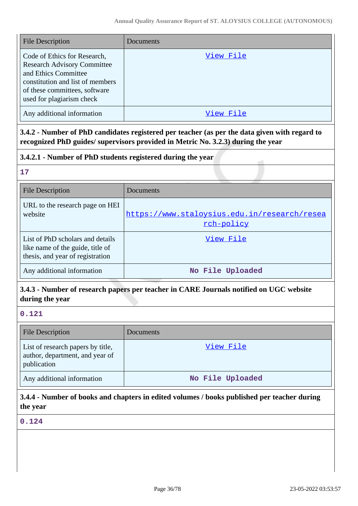| <b>File Description</b>                                                                                                                                                                      | Documents |
|----------------------------------------------------------------------------------------------------------------------------------------------------------------------------------------------|-----------|
| Code of Ethics for Research,<br><b>Research Advisory Committee</b><br>and Ethics Committee<br>constitution and list of members<br>of these committees, software<br>used for plagiarism check | View File |
| Any additional information                                                                                                                                                                   | View File |

**3.4.2 - Number of PhD candidates registered per teacher (as per the data given with regard to recognized PhD guides/ supervisors provided in Metric No. 3.2.3) during the year**

## **3.4.2.1 - Number of PhD students registered during the year**

### **17**

| <b>File Description</b>                                                                                  | Documents                                                  |
|----------------------------------------------------------------------------------------------------------|------------------------------------------------------------|
| URL to the research page on HEI<br>website                                                               | https://www.staloysius.edu.in/research/resea<br>rch-policy |
| List of PhD scholars and details<br>like name of the guide, title of<br>thesis, and year of registration | View File                                                  |
| Any additional information                                                                               | No File Uploaded                                           |

# **3.4.3 - Number of research papers per teacher in CARE Journals notified on UGC website during the year**

# **0.121**

| <b>File Description</b>                                                             | Documents        |
|-------------------------------------------------------------------------------------|------------------|
| List of research papers by title,<br>author, department, and year of<br>publication | View File        |
| Any additional information                                                          | No File Uploaded |

# **3.4.4 - Number of books and chapters in edited volumes / books published per teacher during the year**

**0.124**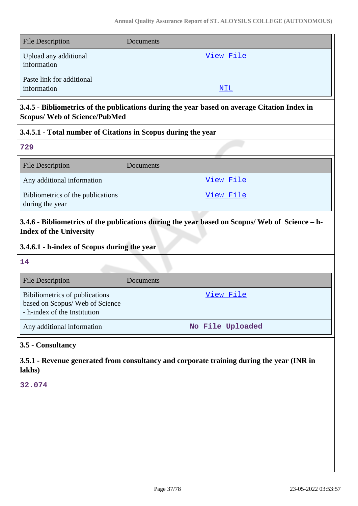| <b>File Description</b>                  | Documents  |
|------------------------------------------|------------|
| Upload any additional<br>information     | View File  |
| Paste link for additional<br>information | <u>NIL</u> |

# **3.4.5 - Bibliometrics of the publications during the year based on average Citation Index in Scopus/ Web of Science/PubMed**

## **3.4.5.1 - Total number of Citations in Scopus during the year**

**729**

| <b>File Description</b>                              | <b>Documents</b> |
|------------------------------------------------------|------------------|
| Any additional information                           | View File        |
| Bibliometrics of the publications<br>during the year | View File        |

**3.4.6 - Bibliometrics of the publications during the year based on Scopus/ Web of Science – h-Index of the University**

## **3.4.6.1 - h-index of Scopus during the year**

**14**

| <b>File Description</b>                                                                           | <b>Documents</b> |
|---------------------------------------------------------------------------------------------------|------------------|
| Bibiliometrics of publications<br>based on Scopus/ Web of Science<br>- h-index of the Institution | View File        |
| Any additional information                                                                        | No File Uploaded |

# **3.5 - Consultancy**

**3.5.1 - Revenue generated from consultancy and corporate training during the year (INR in lakhs)**

## **32.074**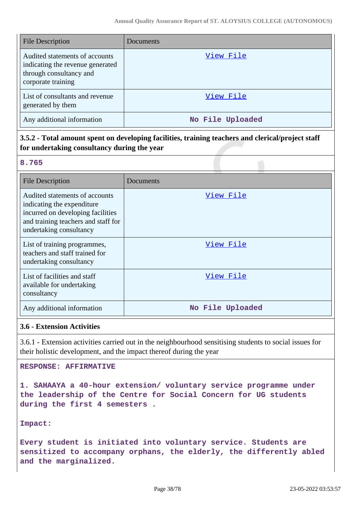| <b>File Description</b>                                                                                             | Documents        |
|---------------------------------------------------------------------------------------------------------------------|------------------|
| Audited statements of accounts<br>indicating the revenue generated<br>through consultancy and<br>corporate training | View File        |
| List of consultants and revenue<br>generated by them                                                                | View File        |
| Any additional information                                                                                          | No File Uploaded |

# **3.5.2 - Total amount spent on developing facilities, training teachers and clerical/project staff for undertaking consultancy during the year**

#### **8.765**

| <b>File Description</b>                                                                                                                                              | Documents        |
|----------------------------------------------------------------------------------------------------------------------------------------------------------------------|------------------|
| Audited statements of accounts<br>indicating the expenditure.<br>incurred on developing facilities<br>and training teachers and staff for<br>undertaking consultancy | View File        |
| List of training programmes,<br>teachers and staff trained for<br>undertaking consultancy                                                                            | View File        |
| List of facilities and staff<br>available for undertaking<br>consultancy                                                                                             | View File        |
| Any additional information                                                                                                                                           | No File Uploaded |

## **3.6 - Extension Activities**

3.6.1 - Extension activities carried out in the neighbourhood sensitising students to social issues for their holistic development, and the impact thereof during the year

#### **RESPONSE: AFFIRMATIVE**

**1. SAHAAYA a 40-hour extension/ voluntary service programme under the leadership of the Centre for Social Concern for UG students during the first 4 semesters .**

**Impact:**

**Every student is initiated into voluntary service. Students are sensitized to accompany orphans, the elderly, the differently abled and the marginalized.**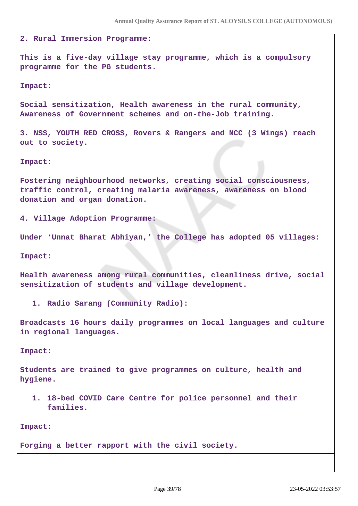**2. Rural Immersion Programme: This is a five-day village stay programme, which is a compulsory programme for the PG students. Impact: Social sensitization, Health awareness in the rural community, Awareness of Government schemes and on-the-Job training. 3. NSS, YOUTH RED CROSS, Rovers & Rangers and NCC (3 Wings) reach out to society. Impact: Fostering neighbourhood networks, creating social consciousness, traffic control, creating malaria awareness, awareness on blood donation and organ donation. 4. Village Adoption Programme: Under 'Unnat Bharat Abhiyan,' the College has adopted 05 villages: Impact: Health awareness among rural communities, cleanliness drive, social sensitization of students and village development. 1. Radio Sarang (Community Radio): Broadcasts 16 hours daily programmes on local languages and culture in regional languages. Impact:** 

**Students are trained to give programmes on culture, health and hygiene.**

**1. 18-bed COVID Care Centre for police personnel and their families.**

**Impact:** 

**Forging a better rapport with the civil society.**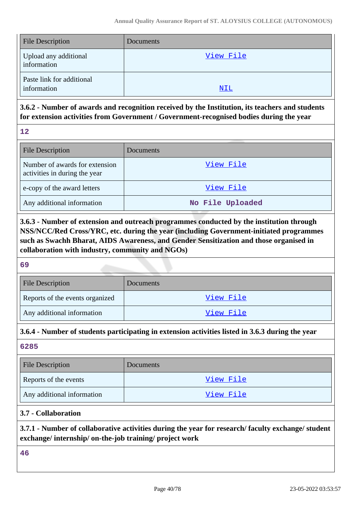| <b>File Description</b>                  | Documents  |
|------------------------------------------|------------|
| Upload any additional<br>information     | View File  |
| Paste link for additional<br>information | <u>NIL</u> |

# **3.6.2 - Number of awards and recognition received by the Institution, its teachers and students for extension activities from Government / Government-recognised bodies during the year**

**12**

| <b>File Description</b>                                         | Documents        |
|-----------------------------------------------------------------|------------------|
| Number of awards for extension<br>activities in during the year | View File        |
| e-copy of the award letters                                     | View File        |
| Any additional information                                      | No File Uploaded |

**3.6.3 - Number of extension and outreach programmes conducted by the institution through NSS/NCC/Red Cross/YRC, etc. during the year (including Government-initiated programmes such as Swachh Bharat, AIDS Awareness, and Gender Sensitization and those organised in collaboration with industry, community and NGOs)**

**69**

| <b>File Description</b>         | Documents |
|---------------------------------|-----------|
| Reports of the events organized | View File |
| Any additional information      | View File |

# **3.6.4 - Number of students participating in extension activities listed in 3.6.3 during the year**

**6285**

| <b>File Description</b>    | Documents |
|----------------------------|-----------|
| Reports of the events      | View File |
| Any additional information | View File |

# **3.7 - Collaboration**

**3.7.1 - Number of collaborative activities during the year for research/ faculty exchange/ student exchange/ internship/ on-the-job training/ project work**

**46**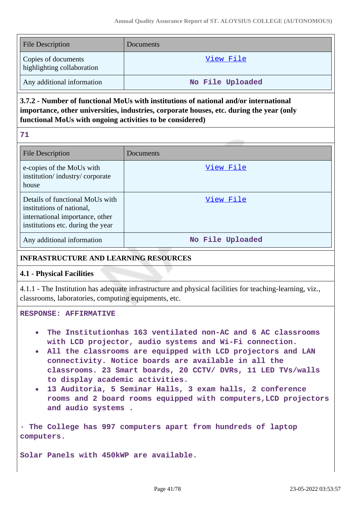| <b>File Description</b>                           | <b>Documents</b> |
|---------------------------------------------------|------------------|
| Copies of documents<br>highlighting collaboration | View File        |
| Any additional information                        | No File Uploaded |

# **3.7.2 - Number of functional MoUs with institutions of national and/or international importance, other universities, industries, corporate houses, etc. during the year (only functional MoUs with ongoing activities to be considered)**

|        | m. |
|--------|----|
| $\sim$ |    |

| <b>File Description</b>                                                                                                              | Documents        |
|--------------------------------------------------------------------------------------------------------------------------------------|------------------|
| e-copies of the MoUs with<br>institution/industry/corporate<br>house                                                                 | View File        |
| Details of functional MoUs with<br>institutions of national,<br>international importance, other<br>institutions etc. during the year | View File        |
| Any additional information                                                                                                           | No File Uploaded |

## **INFRASTRUCTURE AND LEARNING RESOURCES**

## **4.1 - Physical Facilities**

4.1.1 - The Institution has adequate infrastructure and physical facilities for teaching-learning, viz., classrooms, laboratories, computing equipments, etc.

#### **RESPONSE: AFFIRMATIVE**

- **The Institutionhas 163 ventilated non-AC and 6 AC classrooms with LCD projector, audio systems and Wi-Fi connection.**
- **All the classrooms are equipped with LCD projectors and LAN connectivity. Notice boards are available in all the classrooms. 23 Smart boards, 20 CCTV/ DVRs, 11 LED TVs/walls to display academic activities.**
- **13 Auditoria, 5 Seminar Halls, 3 exam halls, 2 conference rooms and 2 board rooms equipped with computers,LCD projectors and audio systems .**

**· The College has 997 computers apart from hundreds of laptop computers.**

**Solar Panels with 450kWP are available.**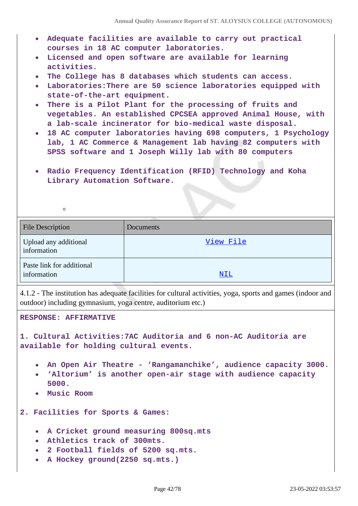- **Adequate facilities are available to carry out practical courses in 18 AC computer laboratories.**
- **Licensed and open software are available for learning**  $\bullet$ **activities.**
- **The College has 8 databases which students can access.**
- **Laboratories:There are 50 science laboratories equipped with state-of-the-art equipment.**
- **There is a Pilot Plant for the processing of fruits and**  $\bullet$ **vegetables. An established CPCSEA approved Animal House, with a lab-scale incinerator for bio-medical waste disposal.**
- **18 AC computer laboratories having 698 computers, 1 Psychology lab, 1 AC Commerce & Management lab having 82 computers with SPSS software and 1 Joseph Willy lab with 80 computers**
- **Radio Frequency Identification (RFID) Technology and Koha Library Automation Software.**

| File Description                         | Documents  |
|------------------------------------------|------------|
| Upload any additional<br>information     | View File  |
| Paste link for additional<br>information | <u>NIL</u> |

4.1.2 - The institution has adequate facilities for cultural activities, yoga, sports and games (indoor and outdoor) including gymnasium, yoga centre, auditorium etc.)

**RESPONSE: AFFIRMATIVE**

 $\circ$ 

**1. Cultural Activities:7AC Auditoria and 6 non-AC Auditoria are available for holding cultural events.**

- **An Open Air Theatre 'Rangamanchike', audience capacity 3000.**
- **'Altorium' is another open-air stage with audience capacity 5000.**
- **Music Room**

**2. Facilities for Sports & Games:**

- **A Cricket ground measuring 800sq.mts**
- **Athletics track of 300mts.**
- **2 Football fields of 5200 sq.mts.**
- **A Hockey ground(2250 sq.mts.)**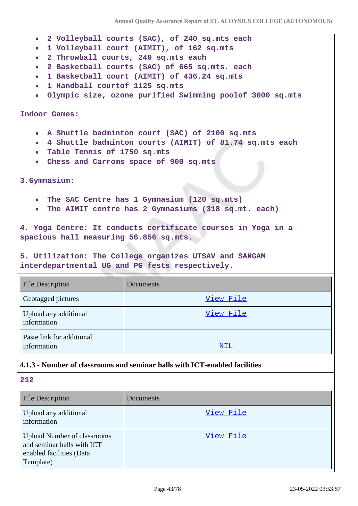- **2 Volleyball courts (SAC), of 240 sq.mts each**
- **1 Volleyball court (AIMIT), of 162 sq.mts**
- **2 Throwball courts, 240 sq.mts each**
- **2 Basketball courts (SAC) of 665 sq.mts. each**
- **1 Basketball court (AIMIT) of 436.24 sq.mts**
- **1 Handball courtof 1125 sq.mts**
- **Olympic size, ozone purified Swimming poolof 3000 sq.mts**  $\bullet$

#### **Indoor Games:**

- **A Shuttle badminton court (SAC) of 2100 sq.mts**
- **4 Shuttle badminton courts (AIMIT) of 81.74 sq.mts each**  $\bullet$
- **Table Tennis of 1750 sq.mts**
- **Chess and Carroms space of 900 sq.mts**

**3.Gymnasium:**

- **The SAC Centre has 1 Gymnasium (120 sq.mts)**
- **The AIMIT centre has 2 Gymnasiums (318 sq.mt. each)**

**4. Yoga Centre: It conducts certificate courses in Yoga in a spacious hall measuring 56.856 sq.mts.**

**5. Utilization: The College organizes UTSAV and SANGAM interdepartmental UG and PG fests respectively.**

| <b>File Description</b>                  | Documents |
|------------------------------------------|-----------|
| Geotagged pictures                       | View File |
| Upload any additional<br>information     | View File |
| Paste link for additional<br>information | NIL       |

#### **4.1.3 - Number of classrooms and seminar halls with ICT-enabled facilities**

**212**

| <b>File Description</b>                                                                                   | Documents |
|-----------------------------------------------------------------------------------------------------------|-----------|
| Upload any additional<br>information                                                                      | View File |
| <b>Upload Number of classrooms</b><br>and seminar halls with ICT<br>enabled facilities (Data<br>Template) | View File |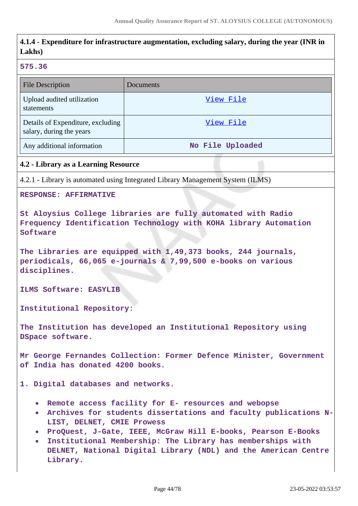# **4.1.4 - Expenditure for infrastructure augmentation, excluding salary, during the year (INR in Lakhs) 575.36** File Description Documents Upload audited utilization [View File](https://assessmentonline.naac.gov.in/storage/app/public/aqar/14896/14896_255_585.pdf?1653301435) statements Details of Expenditure, excluding [View File](https://assessmentonline.naac.gov.in/storage/app/public/aqar/14896/14896_255_586.xlsx?1653301435) salary, during the years Any additional information **No File Uploaded 4.2 - Library as a Learning Resource** 4.2.1 - Library is automated using Integrated Library Management System (ILMS) **RESPONSE: AFFIRMATIVE St Aloysius College libraries are fully automated with Radio Frequency Identification Technology with KOHA library Automation Software The Libraries are equipped with 1,49,373 books, 244 journals, periodicals, 66,065 e-journals & 7,99,500 e-books on various disciplines. ILMS Software: EASYLIB Institutional Repository: The Institution has developed an Institutional Repository using DSpace software. Mr George Fernandes Collection: Former Defence Minister, Government of India has donated 4200 books. 1. Digital databases and networks. Remote access facility for E- resources and webopse Archives for students dissertations and faculty publications N-LIST, DELNET, CMIE Prowess ProQuest, J-Gate, IEEE, McGraw Hill E-books, Pearson E-Books Institutional Membership: The Library has memberships with**  $\bullet$ **DELNET, National Digital Library (NDL) and the American Centre Library.**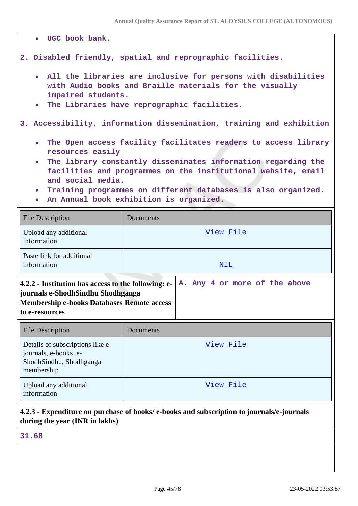- **UGC book bank.**
- **2. Disabled friendly, spatial and reprographic facilities.**
	- **All the libraries are inclusive for persons with disabilities with Audio books and Braille materials for the visually impaired students.**
	- **The Libraries have reprographic facilities.**  $\bullet$

**3. Accessibility, information dissemination, training and exhibition**

- **The Open access facility facilitates readers to access library**  $\bullet$ **resources easily**
- **The library constantly disseminates information regarding the facilities and programmes on the institutional website, email and social media.**
- **Training programmes on different databases is also organized.**
- **An Annual book exhibition is organized.**

| <b>File Description</b>                                                                                                        | Documents |
|--------------------------------------------------------------------------------------------------------------------------------|-----------|
| Upload any additional<br>information                                                                                           | View File |
| Paste link for additional<br>information                                                                                       | NIL       |
| A. Any 4 or more of the above<br>4.2.2 - Institution has access to the following: e-<br>journals e-ShodhSindhu Shodhganga<br>. |           |

**Membership e-books Databases Remote access to e-resources**

| <b>File Description</b>                                                                            | Documents |
|----------------------------------------------------------------------------------------------------|-----------|
| Details of subscriptions like e-<br>journals, e-books, e-<br>ShodhSindhu, Shodhganga<br>membership | View File |
| Upload any additional<br>information                                                               | View File |

## **4.2.3 - Expenditure on purchase of books/ e-books and subscription to journals/e-journals during the year (INR in lakhs)**

**31.68**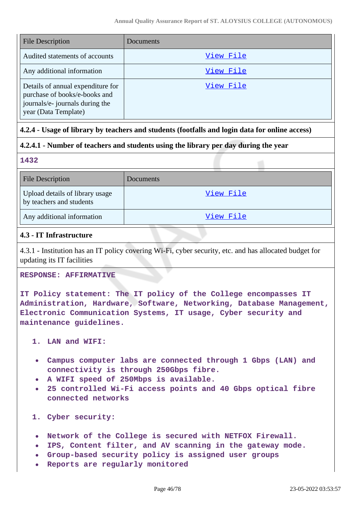| <b>File Description</b>                                                                                                       | <b>Documents</b> |
|-------------------------------------------------------------------------------------------------------------------------------|------------------|
| Audited statements of accounts                                                                                                | View File        |
| Any additional information                                                                                                    | View File        |
| Details of annual expenditure for<br>purchase of books/e-books and<br>journals/e- journals during the<br>year (Data Template) | View File        |

## **4.2.4 - Usage of library by teachers and students (footfalls and login data for online access)**

## **4.2.4.1 - Number of teachers and students using the library per day during the year**

**1432**

| <b>File Description</b>                                     | <b>Documents</b> |
|-------------------------------------------------------------|------------------|
| Upload details of library usage<br>by teachers and students | View File        |
| Any additional information                                  | View File        |

## **4.3 - IT Infrastructure**

4.3.1 - Institution has an IT policy covering Wi-Fi, cyber security, etc. and has allocated budget for updating its IT facilities

#### **RESPONSE: AFFIRMATIVE**

**IT Policy statement: The IT policy of the College encompasses IT Administration, Hardware, Software, Networking, Database Management, Electronic Communication Systems, IT usage, Cyber security and maintenance guidelines.**

**1. LAN and WIFI:**

- **Campus computer labs are connected through 1 Gbps (LAN) and connectivity is through 250Gbps fibre.**
- **A WIFI speed of 250Mbps is available.**
- **25 controlled Wi-Fi access points and 40 Gbps optical fibre connected networks**

**1. Cyber security:**

- **Network of the College is secured with NETFOX Firewall.**
- **IPS, Content filter, and AV scanning in the gateway mode.**  $\bullet$
- **Group-based security policy is assigned user groups**
- **Reports are regularly monitored**  $\bullet$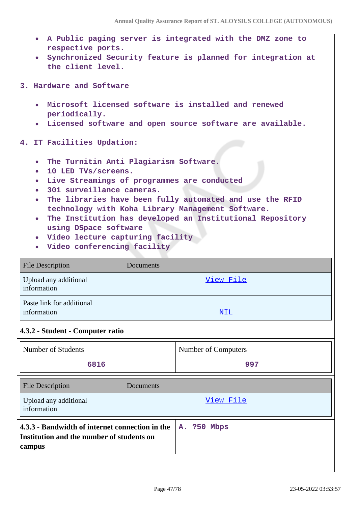- **A Public paging server is integrated with the DMZ zone to respective ports.**
- **Synchronized Security feature is planned for integration at the client level.**

**3. Hardware and Software**

- **Microsoft licensed software is installed and renewed periodically.**
- **Licensed software and open source software are available.**

#### **4. IT Facilities Updation:**

- **The Turnitin Anti Plagiarism Software.**
- **10 LED TVs/screens.**  $\bullet$
- **Live Streamings of programmes are conducted**
- **301 surveillance cameras.**  $\bullet$
- **The libraries have been fully automated and use the RFID**  $\bullet$ **technology with Koha Library Management Software.**
- **The Institution has developed an Institutional Repository**  $\bullet$ **using DSpace software**
- **Video lecture capturing facility**
- **Video conferencing facility**

| <b>File Description</b>                  | Documents |
|------------------------------------------|-----------|
| Upload any additional<br>information     | View File |
| Paste link for additional<br>information | NIL       |

#### **4.3.2 - Student - Computer ratio**

| Number of Students                                                                                     |           | Number of Computers |
|--------------------------------------------------------------------------------------------------------|-----------|---------------------|
| 6816                                                                                                   |           | 997                 |
| <b>File Description</b>                                                                                | Documents |                     |
| Upload any additional<br>information                                                                   |           | View File           |
| 4.3.3 - Bandwidth of internet connection in the<br>Institution and the number of students on<br>campus |           | A. ?50 Mbps         |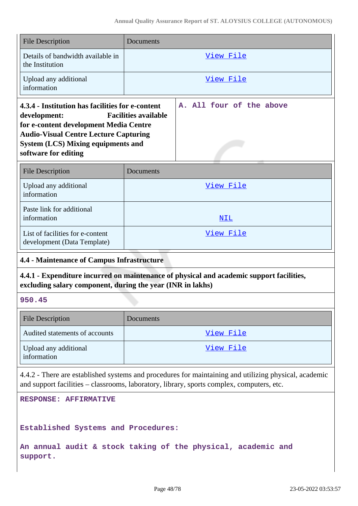| <b>File Description</b>                                                                                                                                                                                                         | Documents                                                                                                                                                                                          |  |
|---------------------------------------------------------------------------------------------------------------------------------------------------------------------------------------------------------------------------------|----------------------------------------------------------------------------------------------------------------------------------------------------------------------------------------------------|--|
| Details of bandwidth available in<br>the Institution                                                                                                                                                                            | View File                                                                                                                                                                                          |  |
| Upload any additional<br>information                                                                                                                                                                                            | View File                                                                                                                                                                                          |  |
| 4.3.4 - Institution has facilities for e-content<br>development:<br>for e-content development Media Centre<br><b>Audio-Visual Centre Lecture Capturing</b><br><b>System (LCS) Mixing equipments and</b><br>software for editing | A. All four of the above<br><b>Facilities available</b>                                                                                                                                            |  |
| <b>File Description</b>                                                                                                                                                                                                         | Documents                                                                                                                                                                                          |  |
| Upload any additional<br>information                                                                                                                                                                                            | View File                                                                                                                                                                                          |  |
| Paste link for additional<br>information                                                                                                                                                                                        | NIL                                                                                                                                                                                                |  |
| List of facilities for e-content<br>development (Data Template)                                                                                                                                                                 | View File                                                                                                                                                                                          |  |
| <b>4.4 - Maintenance of Campus Infrastructure</b>                                                                                                                                                                               |                                                                                                                                                                                                    |  |
| 4.4.1 - Expenditure incurred on maintenance of physical and academic support facilities,<br>excluding salary component, during the year (INR in lakhs)                                                                          |                                                                                                                                                                                                    |  |
| 950.45                                                                                                                                                                                                                          |                                                                                                                                                                                                    |  |
| <b>File Description</b>                                                                                                                                                                                                         | Documents                                                                                                                                                                                          |  |
| Audited statements of accounts                                                                                                                                                                                                  | View File                                                                                                                                                                                          |  |
| Upload any additional<br>information                                                                                                                                                                                            | <u>View File</u>                                                                                                                                                                                   |  |
|                                                                                                                                                                                                                                 | 4.4.2 - There are established systems and procedures for maintaining and utilizing physical, academic<br>and support facilities - classrooms, laboratory, library, sports complex, computers, etc. |  |

**RESPONSE: AFFIRMATIVE**

## **Established Systems and Procedures:**

**An annual audit & stock taking of the physical, academic and support.**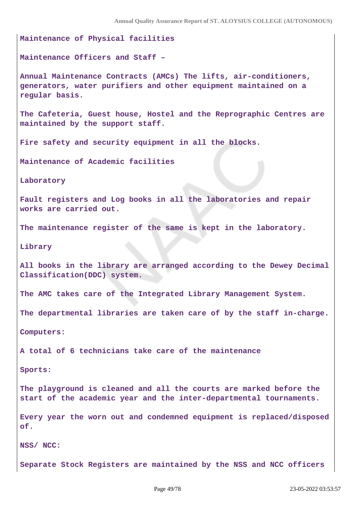**Maintenance of Physical facilities Maintenance Officers and Staff – Annual Maintenance Contracts (AMCs) The lifts, air-conditioners, generators, water purifiers and other equipment maintained on a regular basis. The Cafeteria, Guest house, Hostel and the Reprographic Centres are maintained by the support staff. Fire safety and security equipment in all the blocks. Maintenance of Academic facilities Laboratory Fault registers and Log books in all the laboratories and repair works are carried out. The maintenance register of the same is kept in the laboratory. Library All books in the library are arranged according to the Dewey Decimal Classification(DDC) system. The AMC takes care of the Integrated Library Management System. The departmental libraries are taken care of by the staff in-charge. Computers: A total of 6 technicians take care of the maintenance Sports: The playground is cleaned and all the courts are marked before the start of the academic year and the inter-departmental tournaments. Every year the worn out and condemned equipment is replaced/disposed of.**

**NSS/ NCC:**

**Separate Stock Registers are maintained by the NSS and NCC officers**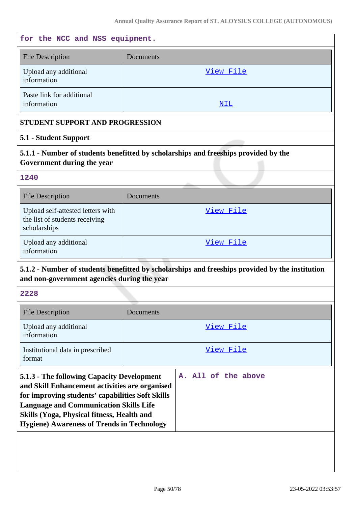# **for the NCC and NSS equipment.** File Description Documents Upload any additional information [View File](https://assessmentonline.naac.gov.in/storage/app/public/aqar/14896/14896_265_605.pdf?1653301435) Paste link for additional information and the set of the set of the set of the set of the set of the set of the set of the set of the set of the set of the set of the set of the set of the set of the set of the set of the set of the set of the set **STUDENT SUPPORT AND PROGRESSION 5.1 - Student Support 5.1.1 - Number of students benefitted by scholarships and freeships provided by the Government during the year 1240** File Description Documents Upload self-attested letters with the list of students receiving scholarships [View File](https://assessmentonline.naac.gov.in/storage/app/public/aqar/14896/14896_266_607.xlsx?1653301435) Upload any additional information [View File](https://assessmentonline.naac.gov.in/storage/app/public/aqar/14896/14896_266_608.xlsx?1653301435) **5.1.2 - Number of students benefitted by scholarships and freeships provided by the institution and non-government agencies during the year 2228** File Description Documents Upload any additional information [View File](https://assessmentonline.naac.gov.in/storage/app/public/aqar/14896/14896_267_609.xlsx?1653301435) Institutional data in prescribed format [View File](https://assessmentonline.naac.gov.in/storage/app/public/aqar/14896/14896_267_2096.xlsx?1653301435) **5.1.3 - The following Capacity Development and Skill Enhancement activities are organised for improving students' capabilities Soft Skills Language and Communication Skills Life Skills (Yoga, Physical fitness, Health and Hygiene) Awareness of Trends in Technology A. All of the above**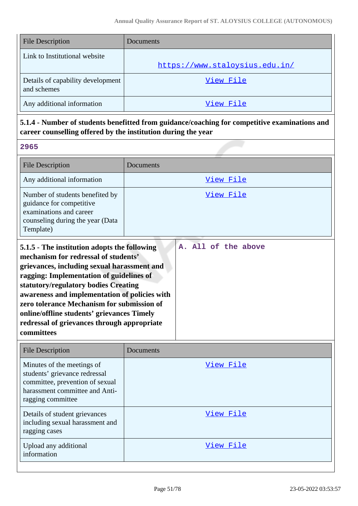| <b>File Description</b>                          | Documents                      |
|--------------------------------------------------|--------------------------------|
| Link to Institutional website                    |                                |
|                                                  | https://www.staloysius.edu.in/ |
| Details of capability development<br>and schemes | View File                      |
| Any additional information                       | View File                      |

# **5.1.4 - Number of students benefitted from guidance/coaching for competitive examinations and career counselling offered by the institution during the year**

**2965**

| <b>File Description</b>                                                                                                                                                                                                                                                                         | Documents        |
|-------------------------------------------------------------------------------------------------------------------------------------------------------------------------------------------------------------------------------------------------------------------------------------------------|------------------|
| Any additional information                                                                                                                                                                                                                                                                      | <u>View File</u> |
| Number of students benefited by<br>guidance for competitive<br>examinations and career<br>counseling during the year (Data<br>Template)                                                                                                                                                         | View File        |
| A. All of the above<br>5.1.5 - The institution adopts the following<br>mechanism for redressal of students'<br>grievances, including sexual harassment and<br>ragging: Implementation of guidelines of<br>statutory/regulatory bodies Creating<br>awareness and implementation of policies with |                  |

| zero tolerance Mechanism for submission of  |
|---------------------------------------------|
| online/offline students' grievances Timely  |
| redressal of grievances through appropriate |
| <b>committees</b>                           |

| <b>File Description</b>                                                                                                                               | Documents |
|-------------------------------------------------------------------------------------------------------------------------------------------------------|-----------|
| Minutes of the meetings of<br>students' grievance redressal<br>committee, prevention of sexual<br>harassment committee and Anti-<br>ragging committee | View File |
| Details of student grievances<br>including sexual harassment and<br>ragging cases                                                                     | View File |
| Upload any additional<br>information                                                                                                                  | View File |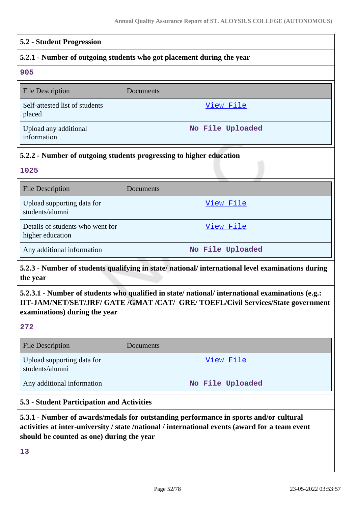## **5.2 - Student Progression**

## **5.2.1 - Number of outgoing students who got placement during the year**

**905**

| <b>File Description</b>                  | Documents        |
|------------------------------------------|------------------|
| Self-attested list of students<br>placed | View File        |
| Upload any additional<br>information     | No File Uploaded |

## **5.2.2 - Number of outgoing students progressing to higher education**

**1025**

| <b>File Description</b>                              | Documents        |
|------------------------------------------------------|------------------|
| Upload supporting data for<br>students/alumni        | View File        |
| Details of students who went for<br>higher education | View File        |
| Any additional information                           | No File Uploaded |

# **5.2.3 - Number of students qualifying in state/ national/ international level examinations during the year**

# **5.2.3.1 - Number of students who qualified in state/ national/ international examinations (e.g.: IIT-JAM/NET/SET/JRF/ GATE /GMAT /CAT/ GRE/ TOEFL/Civil Services/State government examinations) during the year**

**272**

| <b>File Description</b>                       | Documents        |
|-----------------------------------------------|------------------|
| Upload supporting data for<br>students/alumni | View File        |
| Any additional information                    | No File Uploaded |

## **5.3 - Student Participation and Activities**

# **5.3.1 - Number of awards/medals for outstanding performance in sports and/or cultural activities at inter-university / state /national / international events (award for a team event should be counted as one) during the year**

**13**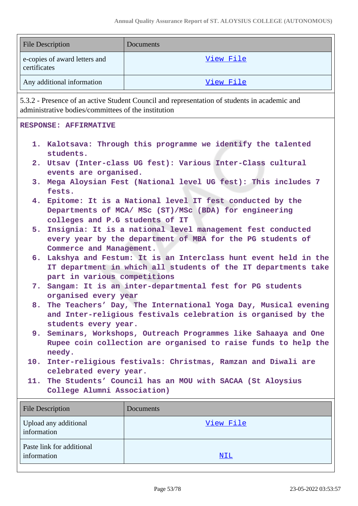| <b>File Description</b>                       | Documents |
|-----------------------------------------------|-----------|
| e-copies of award letters and<br>certificates | View File |
| Any additional information                    | View File |

5.3.2 - Presence of an active Student Council and representation of students in academic and administrative bodies/committees of the institution

#### **RESPONSE: AFFIRMATIVE**

**1. Kalotsava: Through this programme we identify the talented students. 2. Utsav (Inter-class UG fest): Various Inter-Class cultural events are organised. 3. Mega Aloysian Fest (National level UG fest): This includes 7 fests. 4. Epitome: It is a National level IT fest conducted by the Departments of MCA/ MSc (ST)/MSc (BDA) for engineering colleges and P.G students of IT 5. Insignia: It is a national level management fest conducted every year by the department of MBA for the PG students of Commerce and Management. 6. Lakshya and Festum: It is an Interclass hunt event held in the IT department in which all students of the IT departments take part in various competitions 7. Sangam: It is an inter-departmental fest for PG students organised every year 8. The Teachers' Day, The International Yoga Day, Musical evening and Inter-religious festivals celebration is organised by the students every year. 9. Seminars, Workshops, Outreach Programmes like Sahaaya and One Rupee coin collection are organised to raise funds to help the needy. 10. Inter-religious festivals: Christmas, Ramzan and Diwali are celebrated every year. 11. The Students' Council has an MOU with SACAA (St Aloysius College Alumni Association)**

| <b>File Description</b>                  | <b>Documents</b> |
|------------------------------------------|------------------|
| Upload any additional<br>information     | View File        |
| Paste link for additional<br>information | <u>NIL</u>       |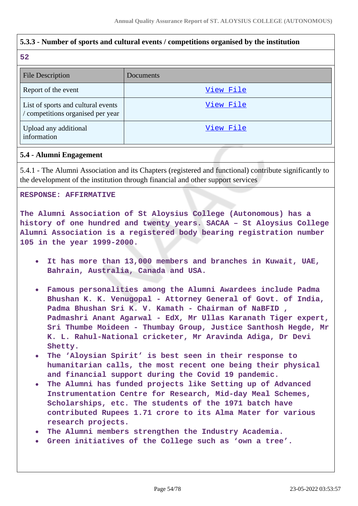# **5.3.3 - Number of sports and cultural events / competitions organised by the institution**

#### **52**

| <b>File Description</b>                                                 | Documents |
|-------------------------------------------------------------------------|-----------|
| Report of the event                                                     | View File |
| List of sports and cultural events<br>/ competitions organised per year | View File |
| Upload any additional<br>information                                    | View File |

## **5.4 - Alumni Engagement**

5.4.1 - The Alumni Association and its Chapters (registered and functional) contribute significantly to the development of the institution through financial and other support services

### **RESPONSE: AFFIRMATIVE**

**The Alumni Association of St Aloysius College (Autonomous) has a history of one hundred and twenty years. SACAA – St Aloysius College Alumni Association is a registered body bearing registration number 105 in the year 1999-2000.**

- **It has more than 13,000 members and branches in Kuwait, UAE, Bahrain, Australia, Canada and USA.**
- **Famous personalities among the Alumni Awardees include Padma Bhushan K. K. Venugopal - Attorney General of Govt. of India, Padma Bhushan Sri K. V. Kamath - Chairman of NaBFID , Padmashri Anant Agarwal - EdX, Mr Ullas Karanath Tiger expert, Sri Thumbe Moideen - Thumbay Group, Justice Santhosh Hegde, Mr K. L. Rahul-National cricketer, Mr Aravinda Adiga, Dr Devi Shetty.**
- **The 'Aloysian Spirit' is best seen in their response to humanitarian calls, the most recent one being their physical and financial support during the Covid 19 pandemic.**
- **The Alumni has funded projects like Setting up of Advanced Instrumentation Centre for Research, Mid-day Meal Schemes, Scholarships, etc. The students of the 1971 batch have contributed Rupees 1.71 crore to its Alma Mater for various research projects.**
- **The Alumni members strengthen the Industry Academia.**
- **Green initiatives of the College such as 'own a tree'.**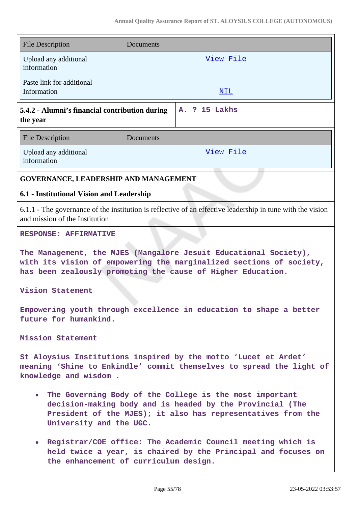| <b>File Description</b>                                                                                                                                                                                           | Documents  |  |
|-------------------------------------------------------------------------------------------------------------------------------------------------------------------------------------------------------------------|------------|--|
| Upload any additional<br>information                                                                                                                                                                              | View File  |  |
| Paste link for additional<br>Information                                                                                                                                                                          | <u>NIL</u> |  |
| A. ? 15 Lakhs<br>5.4.2 - Alumni's financial contribution during<br>the year                                                                                                                                       |            |  |
| <b>File Description</b>                                                                                                                                                                                           | Documents  |  |
| Upload any additional<br>information                                                                                                                                                                              | View File  |  |
| GOVERNANCE, LEADERSHIP AND MANAGEMENT                                                                                                                                                                             |            |  |
| 6.1 - Institutional Vision and Leadership                                                                                                                                                                         |            |  |
| 6.1.1 - The governance of the institution is reflective of an effective leadership in tune with the vision<br>and mission of the Institution                                                                      |            |  |
| <b>RESPONSE: AFFIRMATIVE</b>                                                                                                                                                                                      |            |  |
| The Management, the MJES (Mangalore Jesuit Educational Society),<br>with its vision of empowering the marginalized sections of society,<br>has been zealously promoting the cause of Higher Education.            |            |  |
| Vision Statement                                                                                                                                                                                                  |            |  |
| Empowering youth through excellence in education to shape a better<br>future for humankind.                                                                                                                       |            |  |
| Mission Statement                                                                                                                                                                                                 |            |  |
| St Aloysius Institutions inspired by the motto 'Lucet et Ardet'<br>meaning 'Shine to Enkindle' commit themselves to spread the light of<br>knowledge and wisdom.                                                  |            |  |
| • The Governing Body of the College is the most important<br>decision-making body and is headed by the Provincial (The<br>President of the MJES); it also has representatives from the<br>University and the UGC. |            |  |
| Registrar/COE office: The Academic Council meeting which is<br>$\bullet$<br>held twice a year, is chaired by the Principal and focuses on<br>the enhancement of curriculum design.                                |            |  |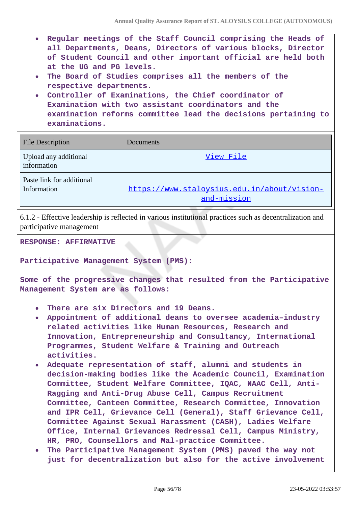- **Regular meetings of the Staff Council comprising the Heads of all Departments, Deans, Directors of various blocks, Director of Student Council and other important official are held both at the UG and PG levels.**
- **The Board of Studies comprises all the members of the respective departments.**
- **Controller of Examinations, the Chief coordinator of Examination with two assistant coordinators and the examination reforms committee lead the decisions pertaining to examinations.**

| <b>File Description</b>                  | Documents                                                  |
|------------------------------------------|------------------------------------------------------------|
| Upload any additional<br>information     | View File                                                  |
| Paste link for additional<br>Information | https://www.staloysius.edu.in/about/vision-<br>and-mission |

6.1.2 - Effective leadership is reflected in various institutional practices such as decentralization and participative management

**RESPONSE: AFFIRMATIVE**

**Participative Management System (PMS):**

**Some of the progressive changes that resulted from the Participative Management System are as follows:** 

- **There are six Directors and 19 Deans.**
- **Appointment of additional deans to oversee academia–industry related activities like Human Resources, Research and Innovation, Entrepreneurship and Consultancy, International Programmes, Student Welfare & Training and Outreach activities.**
- **Adequate representation of staff, alumni and students in decision-making bodies like the Academic Council, Examination Committee, Student Welfare Committee, IQAC, NAAC Cell, Anti-Ragging and Anti-Drug Abuse Cell, Campus Recruitment Committee, Canteen Committee, Research Committee, Innovation and IPR Cell, Grievance Cell (General), Staff Grievance Cell, Committee Against Sexual Harassment (CASH), Ladies Welfare Office, Internal Grievances Redressal Cell, Campus Ministry, HR, PRO, Counsellors and Mal-practice Committee.**
- **The Participative Management System (PMS) paved the way not just for decentralization but also for the active involvement**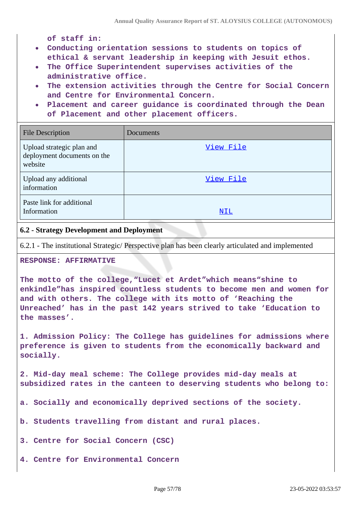**of staff in:**

- **Conducting orientation sessions to students on topics of ethical & servant leadership in keeping with Jesuit ethos.**
- **The Office Superintendent supervises activities of the administrative office.**
- **The extension activities through the Centre for Social Concern and Centre for Environmental Concern.**
- **Placement and career guidance is coordinated through the Dean of Placement and other placement officers.**

| <b>File Description</b>                                             | Documents |
|---------------------------------------------------------------------|-----------|
| Upload strategic plan and<br>deployment documents on the<br>website | View File |
| Upload any additional<br>information                                | View File |
| Paste link for additional<br>Information                            | NIL       |

### **6.2 - Strategy Development and Deployment**

6.2.1 - The institutional Strategic/ Perspective plan has been clearly articulated and implemented

## **RESPONSE: AFFIRMATIVE**

**The motto of the college,"Lucet et Ardet"which means"shine to enkindle"has inspired countless students to become men and women for and with others. The college with its motto of 'Reaching the Unreached' has in the past 142 years strived to take 'Education to the masses'.**

**1. Admission Policy: The College has guidelines for admissions where preference is given to students from the economically backward and socially.**

**2. Mid-day meal scheme: The College provides mid-day meals at subsidized rates in the canteen to deserving students who belong to:**

**a. Socially and economically deprived sections of the society.**

**b. Students travelling from distant and rural places.**

**3. Centre for Social Concern (CSC)**

**4. Centre for Environmental Concern**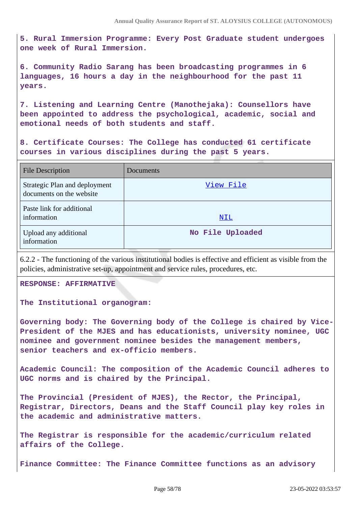**5. Rural Immersion Programme: Every Post Graduate student undergoes one week of Rural Immersion.**

**6. Community Radio Sarang has been broadcasting programmes in 6 languages, 16 hours a day in the neighbourhood for the past 11 years.**

**7. Listening and Learning Centre (Manothejaka): Counsellors have been appointed to address the psychological, academic, social and emotional needs of both students and staff.**

**8. Certificate Courses: The College has conducted 61 certificate courses in various disciplines during the past 5 years.**

| <b>File Description</b>                                   | Documents        |
|-----------------------------------------------------------|------------------|
| Strategic Plan and deployment<br>documents on the website | View File        |
| Paste link for additional<br>information                  | NIL              |
| Upload any additional<br>information                      | No File Uploaded |

6.2.2 - The functioning of the various institutional bodies is effective and efficient as visible from the policies, administrative set-up, appointment and service rules, procedures, etc.

**RESPONSE: AFFIRMATIVE**

**The Institutional organogram:**

**Governing body: The Governing body of the College is chaired by Vice-President of the MJES and has educationists, university nominee, UGC nominee and government nominee besides the management members, senior teachers and ex-officio members.**

**Academic Council: The composition of the Academic Council adheres to UGC norms and is chaired by the Principal.**

**The Provincial (President of MJES), the Rector, the Principal, Registrar, Directors, Deans and the Staff Council play key roles in the academic and administrative matters.**

**The Registrar is responsible for the academic/curriculum related affairs of the College.**

**Finance Committee: The Finance Committee functions as an advisory**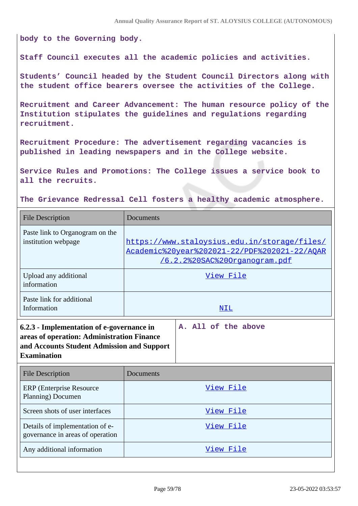**body to the Governing body.**

**Staff Council executes all the academic policies and activities.**

**Students' Council headed by the Student Council Directors along with the student office bearers oversee the activities of the College.**

**Recruitment and Career Advancement: The human resource policy of the Institution stipulates the guidelines and regulations regarding recruitment.**

**Recruitment Procedure: The advertisement regarding vacancies is published in leading newspapers and in the College website.**

**Service Rules and Promotions: The College issues a service book to all the recruits.**

**The Grievance Redressal Cell fosters a healthy academic atmosphere.**

| <b>File Description</b>                                                                                                                                     | Documents                                                                                                                            |
|-------------------------------------------------------------------------------------------------------------------------------------------------------------|--------------------------------------------------------------------------------------------------------------------------------------|
| Paste link to Organogram on the<br>institution webpage                                                                                                      | https://www.staloysius.edu.in/storage/files/<br>Academic%20year%202021-22/PDF%202021-22/AOAR<br><u>/6.2.2%20SAC%20Organogram.pdf</u> |
| Upload any additional<br>information                                                                                                                        | View File                                                                                                                            |
| Paste link for additional<br>Information                                                                                                                    | NIL                                                                                                                                  |
| 6.2.3 - Implementation of e-governance in<br>areas of operation: Administration Finance<br>and Accounts Student Admission and Support<br><b>Examination</b> | A. All of the above                                                                                                                  |
| <b>File Description</b>                                                                                                                                     | Documents                                                                                                                            |
| <b>ERP</b> (Enterprise Resource<br>Planning) Documen                                                                                                        | View File                                                                                                                            |
| Screen shots of user interfaces                                                                                                                             | View File                                                                                                                            |
| Details of implementation of e-<br>governance in areas of operation                                                                                         | View File                                                                                                                            |
| Any additional information                                                                                                                                  | View File                                                                                                                            |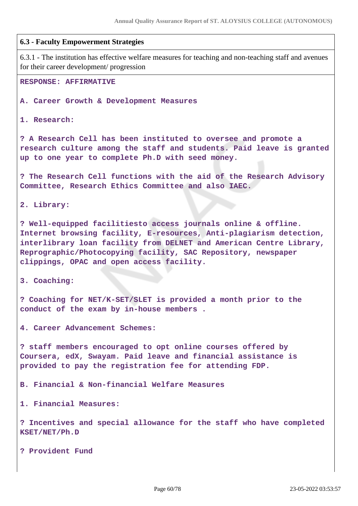#### **6.3 - Faculty Empowerment Strategies**

6.3.1 - The institution has effective welfare measures for teaching and non-teaching staff and avenues for their career development/ progression

**RESPONSE: AFFIRMATIVE**

**A. Career Growth & Development Measures**

**1. Research:** 

**? A Research Cell has been instituted to oversee and promote a research culture among the staff and students. Paid leave is granted up to one year to complete Ph.D with seed money.**

**? The Research Cell functions with the aid of the Research Advisory Committee, Research Ethics Committee and also IAEC.**

**2. Library:**

**? Well-equipped facilitiesto access journals online & offline. Internet browsing facility, E-resources, Anti-plagiarism detection, interlibrary loan facility from DELNET and American Centre Library, Reprographic/Photocopying facility, SAC Repository, newspaper clippings, OPAC and open access facility.**

**3. Coaching:**

**? Coaching for NET/K-SET/SLET is provided a month prior to the conduct of the exam by in-house members .**

**4. Career Advancement Schemes:**

**? staff members encouraged to opt online courses offered by Coursera, edX, Swayam. Paid leave and financial assistance is provided to pay the registration fee for attending FDP.**

**B. Financial & Non-financial Welfare Measures**

**1. Financial Measures:**

**? Incentives and special allowance for the staff who have completed KSET/NET/Ph.D**

**? Provident Fund**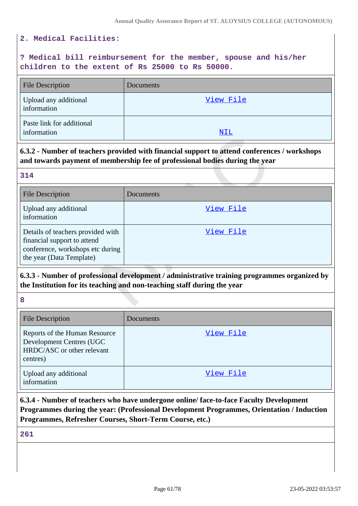#### **2. Medical Facilities:**

# **? Medical bill reimbursement for the member, spouse and his/her children to the extent of Rs 25000 to Rs 50000.**

| <b>File Description</b>                  | Documents |
|------------------------------------------|-----------|
| Upload any additional<br>information     | View File |
| Paste link for additional<br>information | NIL       |

# **6.3.2 - Number of teachers provided with financial support to attend conferences / workshops and towards payment of membership fee of professional bodies during the year**

| 314                                                                                                                              |           |
|----------------------------------------------------------------------------------------------------------------------------------|-----------|
| <b>File Description</b>                                                                                                          | Documents |
| Upload any additional<br>information                                                                                             | View File |
| Details of teachers provided with<br>financial support to attend<br>conference, workshops etc during<br>the year (Data Template) | View File |

# **6.3.3 - Number of professional development / administrative training programmes organized by the Institution for its teaching and non-teaching staff during the year**

**8**

| <b>File Description</b>                                                                             | Documents |
|-----------------------------------------------------------------------------------------------------|-----------|
| Reports of the Human Resource<br>Development Centres (UGC<br>HRDC/ASC or other relevant<br>centres) | View File |
| Upload any additional<br>information                                                                | View File |

# **6.3.4 - Number of teachers who have undergone online/ face-to-face Faculty Development Programmes during the year: (Professional Development Programmes, Orientation / Induction Programmes, Refresher Courses, Short-Term Course, etc.)**

**261**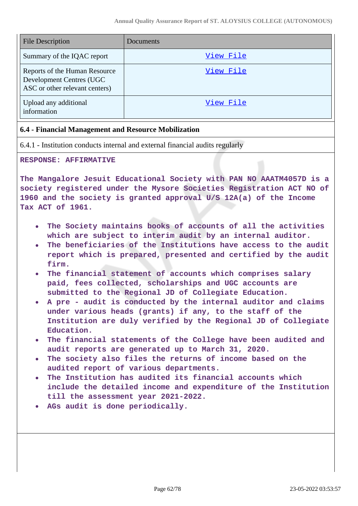| <b>File Description</b>                                                                     | Documents |
|---------------------------------------------------------------------------------------------|-----------|
| Summary of the IQAC report                                                                  | View File |
| Reports of the Human Resource<br>Development Centres (UGC<br>ASC or other relevant centers) | View File |
| Upload any additional<br>information                                                        | View File |

#### **6.4 - Financial Management and Resource Mobilization**

6.4.1 - Institution conducts internal and external financial audits regularly

#### **RESPONSE: AFFIRMATIVE**

**The Mangalore Jesuit Educational Society with PAN NO AAATM4057D is a society registered under the Mysore Societies Registration ACT NO of 1960 and the society is granted approval U/S 12A(a) of the Income Tax ACT of 1961.**

- **The Society maintains books of accounts of all the activities which are subject to interim audit by an internal auditor.**
- **The beneficiaries of the Institutions have access to the audit report which is prepared, presented and certified by the audit firm.**
- **The financial statement of accounts which comprises salary paid, fees collected, scholarships and UGC accounts are submitted to the Regional JD of Collegiate Education.**
- **A pre audit is conducted by the internal auditor and claims under various heads (grants) if any, to the staff of the Institution are duly verified by the Regional JD of Collegiate Education.**
- **The financial statements of the College have been audited and audit reports are generated up to March 31, 2020.**
- **The society also files the returns of income based on the audited report of various departments.**
- **The Institution has audited its financial accounts which include the detailed income and expenditure of the Institution till the assessment year 2021-2022.**
- **AGs audit is done periodically.**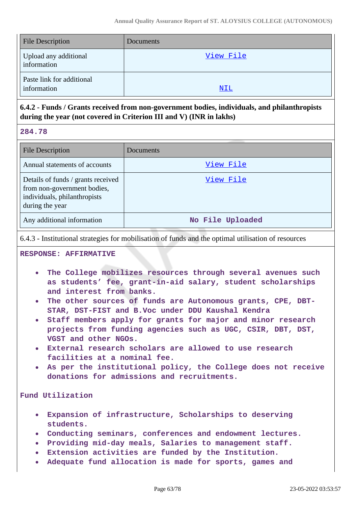| <b>File Description</b>                  | <b>Documents</b> |
|------------------------------------------|------------------|
| Upload any additional<br>information     | View File        |
| Paste link for additional<br>information | <u>NIL</u>       |

# **6.4.2 - Funds / Grants received from non-government bodies, individuals, and philanthropists during the year (not covered in Criterion III and V) (INR in lakhs)**

**284.78**

| <b>File Description</b>                                                                                              | Documents        |
|----------------------------------------------------------------------------------------------------------------------|------------------|
| Annual statements of accounts                                                                                        | View File        |
| Details of funds / grants received<br>from non-government bodies,<br>individuals, philanthropists<br>during the year | View File        |
| Any additional information                                                                                           | No File Uploaded |

6.4.3 - Institutional strategies for mobilisation of funds and the optimal utilisation of resources

**RESPONSE: AFFIRMATIVE**

- **The College mobilizes resources through several avenues such as students' fee, grant-in-aid salary, student scholarships and interest from banks.**
- **The other sources of funds are Autonomous grants, CPE, DBT-STAR, DST-FIST and B.Voc under DDU Kaushal Kendra**
- **Staff members apply for grants for major and minor research projects from funding agencies such as UGC, CSIR, DBT, DST, VGST and other NGOs.**
- **External research scholars are allowed to use research facilities at a nominal fee.**
- **As per the institutional policy, the College does not receive donations for admissions and recruitments.**

**Fund Utilization**

- **Expansion of infrastructure, Scholarships to deserving students.**
- **Conducting seminars, conferences and endowment lectures.**
- **Providing mid-day meals, Salaries to management staff.**
- **Extension activities are funded by the Institution.**
- **Adequate fund allocation is made for sports, games and**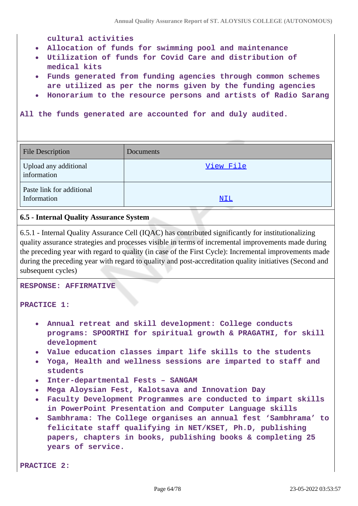**cultural activities**

- **Allocation of funds for swimming pool and maintenance**
- **Utilization of funds for Covid Care and distribution of medical kits**
- **Funds generated from funding agencies through common schemes are utilized as per the norms given by the funding agencies**
- **Honorarium to the resource persons and artists of Radio Sarang**

**All the funds generated are accounted for and duly audited.**

| <b>File Description</b>                  | Documents |
|------------------------------------------|-----------|
| Upload any additional<br>information     | View File |
| Paste link for additional<br>Information | NIL       |

#### **6.5 - Internal Quality Assurance System**

6.5.1 - Internal Quality Assurance Cell (IQAC) has contributed significantly for institutionalizing quality assurance strategies and processes visible in terms of incremental improvements made during the preceding year with regard to quality (in case of the First Cycle): Incremental improvements made during the preceding year with regard to quality and post-accreditation quality initiatives (Second and subsequent cycles)

**RESPONSE: AFFIRMATIVE**

#### **PRACTICE 1:**

- **Annual retreat and skill development: College conducts programs: SPOORTHI for spiritual growth & PRAGATHI, for skill development**
- **Value education classes impart life skills to the students**
- **Yoga, Health and wellness sessions are imparted to staff and students**
- **Inter-departmental Fests SANGAM**
- **Mega Aloysian Fest, Kalotsava and Innovation Day**
- **Faculty Development Programmes are conducted to impart skills in PowerPoint Presentation and Computer Language skills**
- **Sambhrama: The College organises an annual fest 'Sambhrama' to felicitate staff qualifying in NET/KSET, Ph.D, publishing papers, chapters in books, publishing books & completing 25 years of service.**

**PRACTICE 2:**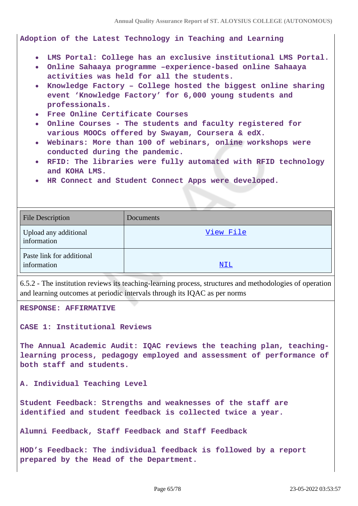**Annual Quality Assurance Report of ST. ALOYSIUS COLLEGE (AUTONOMOUS)**

**Adoption of the Latest Technology in Teaching and Learning**

- **LMS Portal: College has an exclusive institutional LMS Portal.**
- **Online Sahaaya programme –experience-based online Sahaaya activities was held for all the students.**
- **Knowledge Factory College hosted the biggest online sharing event 'Knowledge Factory' for 6,000 young students and professionals.**
- **Free Online Certificate Courses**
- **Online Courses The students and faculty registered for various MOOCs offered by Swayam, Coursera & edX.**
- **Webinars: More than 100 of webinars, online workshops were conducted during the pandemic.**
- **RFID: The libraries were fully automated with RFID technology and KOHA LMS.**
- **HR Connect and Student Connect Apps were developed.**

| <b>File Description</b>                  | Documents |
|------------------------------------------|-----------|
| Upload any additional<br>information     | View File |
| Paste link for additional<br>information | NIL       |

6.5.2 - The institution reviews its teaching-learning process, structures and methodologies of operation and learning outcomes at periodic intervals through its IQAC as per norms

**RESPONSE: AFFIRMATIVE**

**CASE 1: Institutional Reviews**

**The Annual Academic Audit: IQAC reviews the teaching plan, teachinglearning process, pedagogy employed and assessment of performance of both staff and students.**

**A. Individual Teaching Level**

**Student Feedback: Strengths and weaknesses of the staff are identified and student feedback is collected twice a year.**

**Alumni Feedback, Staff Feedback and Staff Feedback**

**HOD's Feedback: The individual feedback is followed by a report prepared by the Head of the Department.**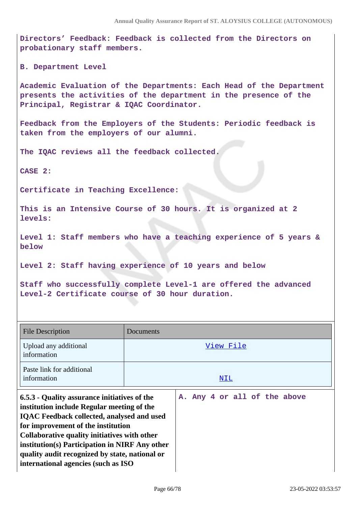**Directors' Feedback: Feedback is collected from the Directors on probationary staff members.**

**B. Department Level**

**Academic Evaluation of the Departments: Each Head of the Department presents the activities of the department in the presence of the Principal, Registrar & IQAC Coordinator.**

**Feedback from the Employers of the Students: Periodic feedback is taken from the employers of our alumni.**

**The IQAC reviews all the feedback collected.**

**CASE 2:**

**Certificate in Teaching Excellence:** 

**This is an Intensive Course of 30 hours. It is organized at 2 levels:**

**Level 1: Staff members who have a teaching experience of 5 years & below**

**Level 2: Staff having experience of 10 years and below**

**Staff who successfully complete Level-1 are offered the advanced Level-2 Certificate course of 30 hour duration.**

| File Description                                                                                                                                                                                                                                                                                                                                                                 | Documents                    |
|----------------------------------------------------------------------------------------------------------------------------------------------------------------------------------------------------------------------------------------------------------------------------------------------------------------------------------------------------------------------------------|------------------------------|
| Upload any additional<br>information                                                                                                                                                                                                                                                                                                                                             | View File                    |
| Paste link for additional<br>information                                                                                                                                                                                                                                                                                                                                         | NIL                          |
| 6.5.3 - Quality assurance initiatives of the<br>institution include Regular meeting of the<br><b>IQAC</b> Feedback collected, analysed and used<br>for improvement of the institution<br>Collaborative quality initiatives with other<br>institution(s) Participation in NIRF Any other<br>quality audit recognized by state, national or<br>international agencies (such as ISO | A. Any 4 or all of the above |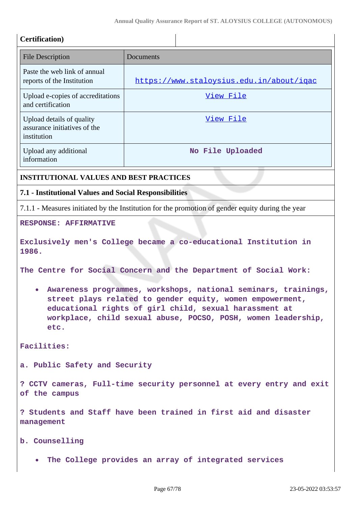| <b>Certification</b> )                                                   |                                                                                                                                                                                                                                                        |
|--------------------------------------------------------------------------|--------------------------------------------------------------------------------------------------------------------------------------------------------------------------------------------------------------------------------------------------------|
| <b>File Description</b>                                                  | Documents                                                                                                                                                                                                                                              |
| Paste the web link of annual<br>reports of the Institution               | https://www.staloysius.edu.in/about/igac                                                                                                                                                                                                               |
| Upload e-copies of accreditations<br>and certification                   | View File                                                                                                                                                                                                                                              |
| Upload details of quality<br>assurance initiatives of the<br>institution | View File                                                                                                                                                                                                                                              |
| Upload any additional<br>information                                     | No File Uploaded                                                                                                                                                                                                                                       |
| <b>INSTITUTIONAL VALUES AND BEST PRACTICES</b>                           |                                                                                                                                                                                                                                                        |
| 7.1 - Institutional Values and Social Responsibilities                   |                                                                                                                                                                                                                                                        |
|                                                                          | 7.1.1 - Measures initiated by the Institution for the promotion of gender equity during the year                                                                                                                                                       |
| <b>RESPONSE: AFFIRMATIVE</b>                                             |                                                                                                                                                                                                                                                        |
| 1986.                                                                    | Exclusively men's College became a co-educational Institution in                                                                                                                                                                                       |
|                                                                          | The Centre for Social Concern and the Department of Social Work:                                                                                                                                                                                       |
| $\bullet$                                                                | Awareness programmes, workshops, national seminars, trainings,<br>street plays related to gender equity, women empowerment,<br>educational rights of girl child, sexual harassment at<br>workplace, child sexual abuse, POCSO, POSH, women leadership, |

**Facilities:**

**etc.**

**a. Public Safety and Security** 

**? CCTV cameras, Full-time security personnel at every entry and exit of the campus**

**? Students and Staff have been trained in first aid and disaster management**

**b. Counselling** 

**The College provides an array of integrated services**  $\bullet$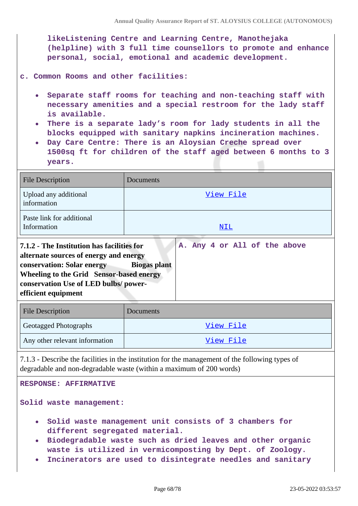**likeListening Centre and Learning Centre, Manothejaka (helpline) with 3 full time counsellors to promote and enhance personal, social, emotional and academic development.**

**c. Common Rooms and other facilities:**

- **Separate staff rooms for teaching and non-teaching staff with necessary amenities and a special restroom for the lady staff is available.**
- **There is a separate lady's room for lady students in all the blocks equipped with sanitary napkins incineration machines.**
- **Day Care Centre: There is an Aloysian Creche spread over 1500sq ft for children of the staff aged between 6 months to 3 years.**

| <b>File Description</b>                                                                                                                                                                                                                                                              | Documents        |  |
|--------------------------------------------------------------------------------------------------------------------------------------------------------------------------------------------------------------------------------------------------------------------------------------|------------------|--|
| Upload any additional<br>information                                                                                                                                                                                                                                                 | <u>View File</u> |  |
| Paste link for additional<br>Information                                                                                                                                                                                                                                             | <u>NIL</u>       |  |
| 7.1.2 - The Institution has facilities for<br>A. Any 4 or All of the above<br>alternate sources of energy and energy<br>conservation: Solar energy<br><b>Biogas plant</b><br>Wheeling to the Grid Sensor-based energy<br>conservation Use of LED bulbs/power-<br>efficient equipment |                  |  |
| <b>File Description</b>                                                                                                                                                                                                                                                              | Documents        |  |
| Geotagged Photographs                                                                                                                                                                                                                                                                | View File        |  |
| Any other relevant information                                                                                                                                                                                                                                                       | View File        |  |
| 7.1.2 Describe the fecilities in the institution for the menagement of the following types of                                                                                                                                                                                        |                  |  |

7.1.3 - Describe the facilities in the institution for the management of the following types of degradable and non-degradable waste (within a maximum of 200 words)

**RESPONSE: AFFIRMATIVE**

**Solid waste management:** 

- **Solid waste management unit consists of 3 chambers for different segregated material.**
- **Biodegradable waste such as dried leaves and other organic waste is utilized in vermicomposting by Dept. of Zoology.**
- **Incinerators are used to disintegrate needles and sanitary**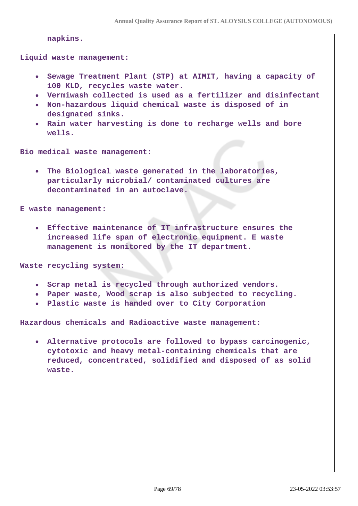```
napkins.
```
**Liquid waste management:**

- **Sewage Treatment Plant (STP) at AIMIT, having a capacity of 100 KLD, recycles waste water.**
- **Vermiwash collected is used as a fertilizer and disinfectant**
- **Non-hazardous liquid chemical waste is disposed of in designated sinks.**
- **Rain water harvesting is done to recharge wells and bore wells.**

**Bio medical waste management:**

**The Biological waste generated in the laboratories, particularly microbial/ contaminated cultures are decontaminated in an autoclave.**

**E waste management:**

**Effective maintenance of IT infrastructure ensures the increased life span of electronic equipment. E waste management is monitored by the IT department.**

**Waste recycling system:**

- **Scrap metal is recycled through authorized vendors.**
- **Paper waste, Wood scrap is also subjected to recycling.**
- **Plastic waste is handed over to City Corporation**

**Hazardous chemicals and Radioactive waste management:**

**Alternative protocols are followed to bypass carcinogenic, cytotoxic and heavy metal-containing chemicals that are reduced, concentrated, solidified and disposed of as solid waste.**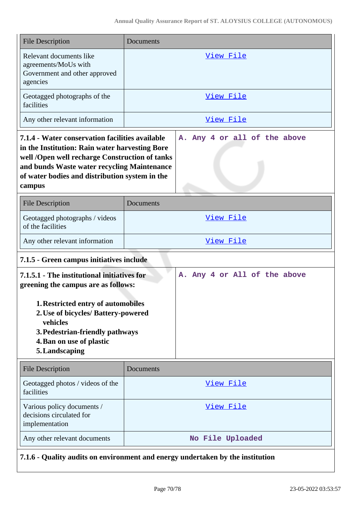| <b>File Description</b>                                                                                                                                                                                                                                        | Documents                    |  |  |  |  |  |  |
|----------------------------------------------------------------------------------------------------------------------------------------------------------------------------------------------------------------------------------------------------------------|------------------------------|--|--|--|--|--|--|
| Relevant documents like<br>agreements/MoUs with<br>Government and other approved<br>agencies                                                                                                                                                                   | View File                    |  |  |  |  |  |  |
| Geotagged photographs of the<br>facilities                                                                                                                                                                                                                     | View File                    |  |  |  |  |  |  |
| Any other relevant information                                                                                                                                                                                                                                 | View File                    |  |  |  |  |  |  |
| 7.1.4 - Water conservation facilities available<br>in the Institution: Rain water harvesting Bore<br>well /Open well recharge Construction of tanks<br>and bunds Waste water recycling Maintenance<br>of water bodies and distribution system in the<br>campus | A. Any 4 or all of the above |  |  |  |  |  |  |
| <b>File Description</b>                                                                                                                                                                                                                                        | Documents                    |  |  |  |  |  |  |
| Geotagged photographs / videos<br>of the facilities                                                                                                                                                                                                            | View File                    |  |  |  |  |  |  |
| Any other relevant information                                                                                                                                                                                                                                 | View File                    |  |  |  |  |  |  |
| 7.1.5 - Green campus initiatives include                                                                                                                                                                                                                       |                              |  |  |  |  |  |  |
| 7.1.5.1 - The institutional initiatives for<br>greening the campus are as follows:<br>1. Restricted entry of automobiles<br>2. Use of bicycles/ Battery-powered<br>vehicles<br>3. Pedestrian-friendly pathways<br>4. Ban on use of plastic<br>5. Landscaping   | A. Any 4 or All of the above |  |  |  |  |  |  |
| <b>File Description</b>                                                                                                                                                                                                                                        | Documents                    |  |  |  |  |  |  |
| Geotagged photos / videos of the<br>facilities                                                                                                                                                                                                                 | <u>View File</u>             |  |  |  |  |  |  |
| Various policy documents /<br>decisions circulated for<br>implementation                                                                                                                                                                                       | View File                    |  |  |  |  |  |  |
| Any other relevant documents                                                                                                                                                                                                                                   | No File Uploaded             |  |  |  |  |  |  |
| 7.1.6 - Quality audits on environment and energy undertaken by the institution                                                                                                                                                                                 |                              |  |  |  |  |  |  |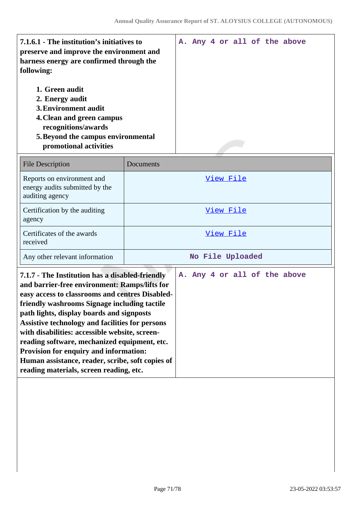| 1. Green audit<br>2. Energy audit<br>3. Environment audit<br>4. Clean and green campus<br>recognitions/awards<br>5. Beyond the campus environmental<br>promotional activities | 7.1.6.1 - The institution's initiatives to<br>preserve and improve the environment and<br>harness energy are confirmed through the<br>following: |  |  |  | A. Any 4 or all of the above |
|-------------------------------------------------------------------------------------------------------------------------------------------------------------------------------|--------------------------------------------------------------------------------------------------------------------------------------------------|--|--|--|------------------------------|
|                                                                                                                                                                               |                                                                                                                                                  |  |  |  |                              |

| <b>File Description</b>                                                         | Documents        |
|---------------------------------------------------------------------------------|------------------|
| Reports on environment and<br>energy audits submitted by the<br>auditing agency | View File        |
| Certification by the auditing<br>agency                                         | View File        |
| Certificates of the awards<br>received                                          | View File        |
| Any other relevant information                                                  | No File Uploaded |

| 7.1.7 - The Institution has a disabled-friendly<br>and barrier-free environment: Ramps/lifts for<br>easy access to classrooms and centres Disabled-<br>friendly washrooms Signage including tactile<br>path lights, display boards and signposts<br>Assistive technology and facilities for persons<br>with disabilities: accessible website, screen-<br>reading software, mechanized equipment, etc.<br><b>Provision for enquiry and information:</b><br>Human assistance, reader, scribe, soft copies of |  |  |  | A. Any 4 or all of the above |  |
|------------------------------------------------------------------------------------------------------------------------------------------------------------------------------------------------------------------------------------------------------------------------------------------------------------------------------------------------------------------------------------------------------------------------------------------------------------------------------------------------------------|--|--|--|------------------------------|--|
| reading materials, screen reading, etc.                                                                                                                                                                                                                                                                                                                                                                                                                                                                    |  |  |  |                              |  |
|                                                                                                                                                                                                                                                                                                                                                                                                                                                                                                            |  |  |  |                              |  |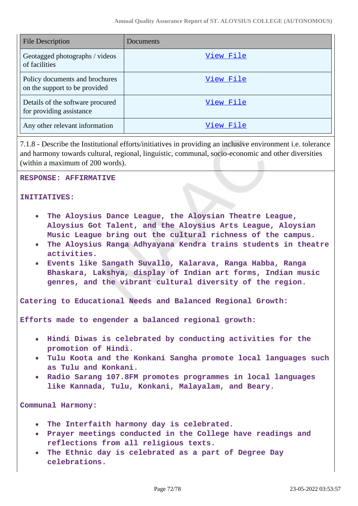| <b>File Description</b>                                         | Documents |
|-----------------------------------------------------------------|-----------|
| Geotagged photographs / videos<br>of facilities                 | View File |
| Policy documents and brochures<br>on the support to be provided | View File |
| Details of the software procured<br>for providing assistance    | View File |
| Any other relevant information                                  | View File |

7.1.8 - Describe the Institutional efforts/initiatives in providing an inclusive environment i.e. tolerance and harmony towards cultural, regional, linguistic, communal, socio-economic and other diversities (within a maximum of 200 words).

#### **RESPONSE: AFFIRMATIVE**

**INITIATIVES:**

- **The Aloysius Dance League, the Aloysian Theatre League, Aloysius Got Talent, and the Aloysius Arts League, Aloysian Music League bring out the cultural richness of the campus.**
- **The Aloysius Ranga Adhyayana Kendra trains students in theatre activities.**
- **Events like Sangath Suvallo, Kalarava, Ranga Habba, Ranga Bhaskara, Lakshya, display of Indian art forms, Indian music genres, and the vibrant cultural diversity of the region.**

**Catering to Educational Needs and Balanced Regional Growth:**

**Efforts made to engender a balanced regional growth:**

- **Hindi Diwas is celebrated by conducting activities for the promotion of Hindi.**
- **Tulu Koota and the Konkani Sangha promote local languages such as Tulu and Konkani.**
- **Radio Sarang 107.8FM promotes programmes in local languages like Kannada, Tulu, Konkani, Malayalam, and Beary.**

**Communal Harmony:**

- **The Interfaith harmony day is celebrated.**
- **Prayer meetings conducted in the College have readings and reflections from all religious texts.**
- **The Ethnic day is celebrated as a part of Degree Day**  $\bullet$ **celebrations.**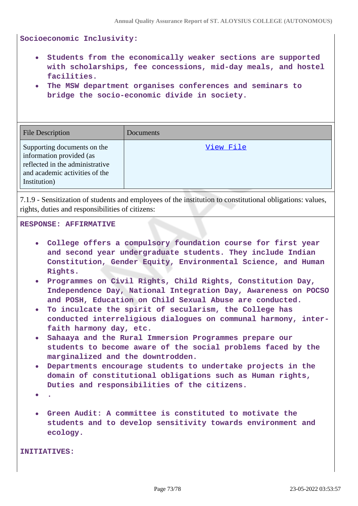**Socioeconomic Inclusivity:**

- **Students from the economically weaker sections are supported with scholarships, fee concessions, mid-day meals, and hostel facilities.**
- **The MSW department organises conferences and seminars to bridge the socio-economic divide in society.**

| <b>File Description</b>                                                                                                                      | Documents |
|----------------------------------------------------------------------------------------------------------------------------------------------|-----------|
| Supporting documents on the<br>information provided (as<br>reflected in the administrative<br>and academic activities of the<br>Institution) | View File |

7.1.9 - Sensitization of students and employees of the institution to constitutional obligations: values, rights, duties and responsibilities of citizens:

## **RESPONSE: AFFIRMATIVE**

- **College offers a compulsory foundation course for first year and second year undergraduate students. They include Indian Constitution, Gender Equity, Environmental Science, and Human Rights.**
- **Programmes on Civil Rights, Child Rights, Constitution Day, Independence Day, National Integration Day, Awareness on POCSO and POSH, Education on Child Sexual Abuse are conducted.**
- **To inculcate the spirit of secularism, the College has conducted interreligious dialogues on communal harmony, interfaith harmony day, etc.**
- **Sahaaya and the Rural Immersion Programmes prepare our students to become aware of the social problems faced by the marginalized and the downtrodden.**
- **Departments encourage students to undertake projects in the domain of constitutional obligations such as Human rights, Duties and responsibilities of the citizens.**
- **.**
- **Green Audit: A committee is constituted to motivate the students and to develop sensitivity towards environment and ecology.**

**INITIATIVES:**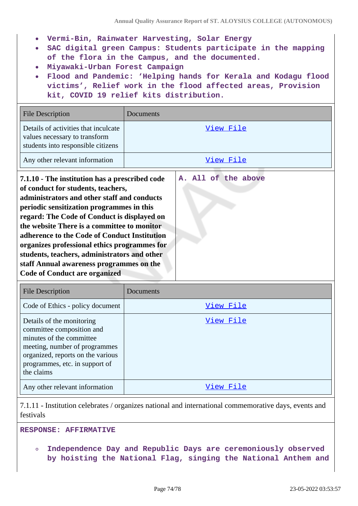- **Vermi-Bin, Rainwater Harvesting, Solar Energy**
- **SAC digital green Campus: Students participate in the mapping of the flora in the Campus, and the documented.**
- **Miyawaki-Urban Forest Campaign**
- **Flood and Pandemic: 'Helping hands for Kerala and Kodagu flood victims', Relief work in the flood affected areas, Provision kit, COVID 19 relief kits distribution.**

| <b>File Description</b>                                                                                                                                                                                                                                                                                                                                                                                                                                                                                                                   | Documents |  |  |
|-------------------------------------------------------------------------------------------------------------------------------------------------------------------------------------------------------------------------------------------------------------------------------------------------------------------------------------------------------------------------------------------------------------------------------------------------------------------------------------------------------------------------------------------|-----------|--|--|
| Details of activities that inculcate<br>values necessary to transform<br>students into responsible citizens                                                                                                                                                                                                                                                                                                                                                                                                                               | View File |  |  |
| Any other relevant information                                                                                                                                                                                                                                                                                                                                                                                                                                                                                                            | View File |  |  |
| A. All of the above<br>7.1.10 - The institution has a prescribed code<br>of conduct for students, teachers,<br>administrators and other staff and conducts<br>periodic sensitization programmes in this<br>regard: The Code of Conduct is displayed on<br>the website There is a committee to monitor<br>adherence to the Code of Conduct Institution<br>organizes professional ethics programmes for<br>students, teachers, administrators and other<br>staff Annual awareness programmes on the<br><b>Code of Conduct are organized</b> |           |  |  |
| <b>File Description</b>                                                                                                                                                                                                                                                                                                                                                                                                                                                                                                                   | Documents |  |  |
| Code of Ethics - policy document                                                                                                                                                                                                                                                                                                                                                                                                                                                                                                          | View File |  |  |
| Details of the monitoring<br>committee composition and<br>minutes of the committee<br>meeting, number of programmes<br>organized, reports on the various<br>programmes, etc. in support of<br>the claims                                                                                                                                                                                                                                                                                                                                  | View File |  |  |

Any other relevant information and the state of the [View File](https://assessmentonline.naac.gov.in/storage/app/public/aqar/14896/14896_303_697.pdf?1653301436)

7.1.11 - Institution celebrates / organizes national and international commemorative days, events and festivals

**RESPONSE: AFFIRMATIVE**

**Independence Day and Republic Days are ceremoniously observed**  $\bullet$ **by hoisting the National Flag, singing the National Anthem and**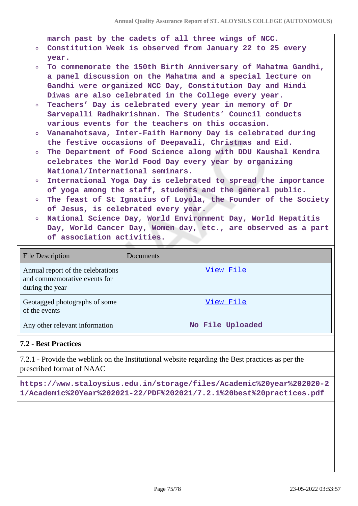**march past by the cadets of all three wings of NCC.**

- **Constitution Week is observed from January 22 to 25 every year.**
- **To commemorate the 150th Birth Anniversary of Mahatma Gandhi,**  $\circ$ **a panel discussion on the Mahatma and a special lecture on Gandhi were organized NCC Day, Constitution Day and Hindi Diwas are also celebrated in the College every year.**
- **Teachers' Day is celebrated every year in memory of Dr**  $\circ$ **Sarvepalli Radhakrishnan. The Students' Council conducts various events for the teachers on this occasion.**
- **Vanamahotsava, Inter-Faith Harmony Day is celebrated during the festive occasions of Deepavali, Christmas and Eid.**
- **The Department of Food Science along with DDU Kaushal Kendra**  $\circ$ **celebrates the World Food Day every year by organizing National/International seminars.**
- **International Yoga Day is celebrated to spread the importance**  $\circ$ **of yoga among the staff, students and the general public.**
- $\circ$ **The feast of St Ignatius of Loyola, the Founder of the Society of Jesus, is celebrated every year.**
- **National Science Day, World Environment Day, World Hepatitis Day, World Cancer Day, Women day, etc., are observed as a part of association activities.**

| <b>File Description</b>                                                              | <b>Documents</b> |
|--------------------------------------------------------------------------------------|------------------|
| Annual report of the celebrations<br>and commemorative events for<br>during the year | View File        |
| Geotagged photographs of some<br>of the events                                       | View File        |
| Any other relevant information                                                       | No File Uploaded |

## **7.2 - Best Practices**

7.2.1 - Provide the weblink on the Institutional website regarding the Best practices as per the prescribed format of NAAC

**https://www.staloysius.edu.in/storage/files/Academic%20year%202020-2 1/Academic%20Year%202021-22/PDF%202021/7.2.1%20best%20practices.pdf**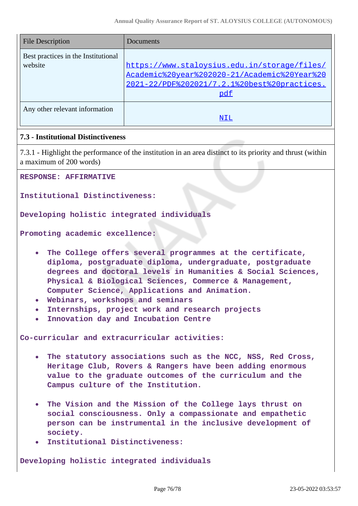| <b>File Description</b>                        | Documents                                                                                                                                           |
|------------------------------------------------|-----------------------------------------------------------------------------------------------------------------------------------------------------|
| Best practices in the Institutional<br>website | https://www.staloysius.edu.in/storage/files/<br>Academic%20year%202020-21/Academic%20Year%20<br>2021-22/PDF%202021/7.2.1%20best%20practices.<br>pdf |
| Any other relevant information                 | NIL                                                                                                                                                 |

## **7.3 - Institutional Distinctiveness**

7.3.1 - Highlight the performance of the institution in an area distinct to its priority and thrust (within a maximum of 200 words)

**RESPONSE: AFFIRMATIVE**

**Institutional Distinctiveness:**

**Developing holistic integrated individuals** 

**Promoting academic excellence:**

- **The College offers several programmes at the certificate, diploma, postgraduate diploma, undergraduate, postgraduate degrees and doctoral levels in Humanities & Social Sciences, Physical & Biological Sciences, Commerce & Management, Computer Science, Applications and Animation.**
- **Webinars, workshops and seminars**
- **Internships, project work and research projects**
- **Innovation day and Incubation Centre**  $\bullet$

**Co-curricular and extracurricular activities:**

- **The statutory associations such as the NCC, NSS, Red Cross, Heritage Club, Rovers & Rangers have been adding enormous value to the graduate outcomes of the curriculum and the Campus culture of the Institution.**
- **The Vision and the Mission of the College lays thrust on social consciousness. Only a compassionate and empathetic person can be instrumental in the inclusive development of society.**
- **Institutional Distinctiveness:**

**Developing holistic integrated individuals**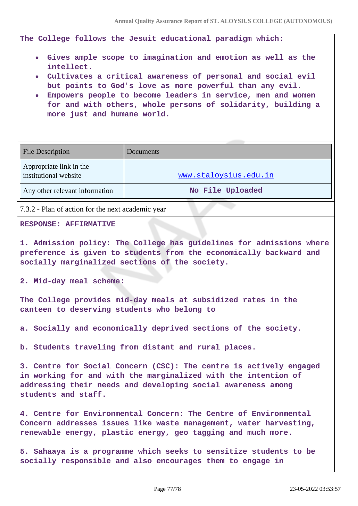**The College follows the Jesuit educational paradigm which:**

- **Gives ample scope to imagination and emotion as well as the intellect.**
- **Cultivates a critical awareness of personal and social evil but points to God's love as more powerful than any evil.**
- **Empowers people to become leaders in service, men and women for and with others, whole persons of solidarity, building a more just and humane world.**

| File Description                                 | Documents             |
|--------------------------------------------------|-----------------------|
| Appropriate link in the<br>institutional website | www.staloysius.edu.in |
| Any other relevant information                   | No File Uploaded      |

7.3.2 - Plan of action for the next academic year

## **RESPONSE: AFFIRMATIVE**

**1. Admission policy: The College has guidelines for admissions where preference is given to students from the economically backward and socially marginalized sections of the society.**

**2. Mid-day meal scheme:**

**The College provides mid-day meals at subsidized rates in the canteen to deserving students who belong to**

**a. Socially and economically deprived sections of the society.**

**b. Students traveling from distant and rural places.**

**3. Centre for Social Concern (CSC): The centre is actively engaged in working for and with the marginalized with the intention of addressing their needs and developing social awareness among students and staff.**

**4. Centre for Environmental Concern: The Centre of Environmental Concern addresses issues like waste management, water harvesting, renewable energy, plastic energy, geo tagging and much more.**

**5. Sahaaya is a programme which seeks to sensitize students to be socially responsible and also encourages them to engage in**